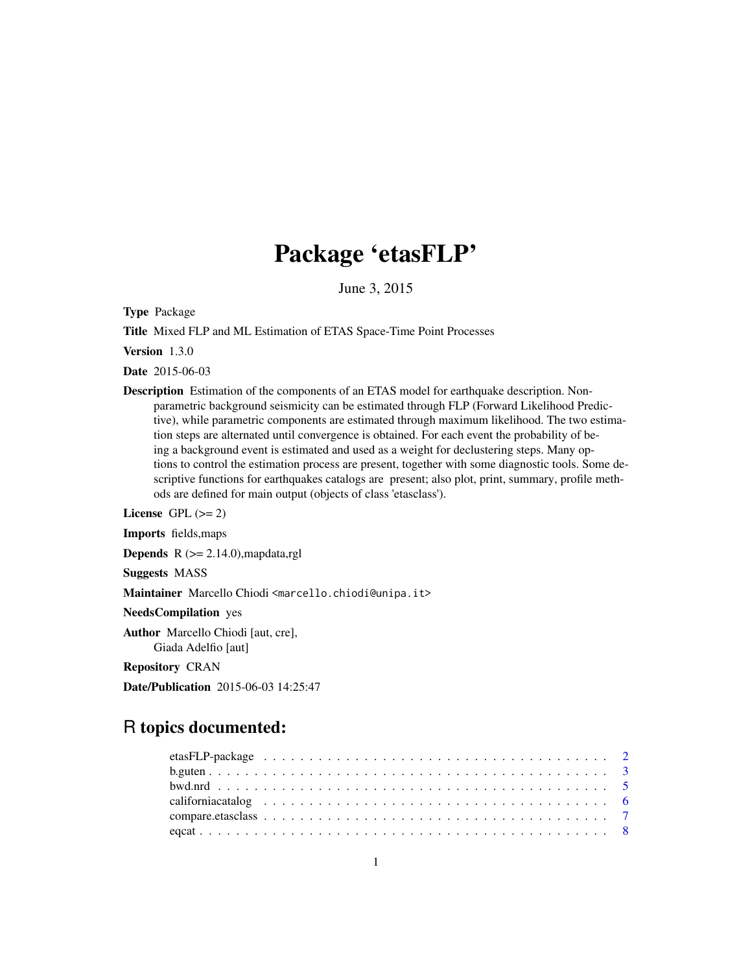# Package 'etasFLP'

June 3, 2015

<span id="page-0-0"></span>Type Package

Title Mixed FLP and ML Estimation of ETAS Space-Time Point Processes

Version 1.3.0

Date 2015-06-03

Description Estimation of the components of an ETAS model for earthquake description. Nonparametric background seismicity can be estimated through FLP (Forward Likelihood Predictive), while parametric components are estimated through maximum likelihood. The two estimation steps are alternated until convergence is obtained. For each event the probability of being a background event is estimated and used as a weight for declustering steps. Many options to control the estimation process are present, together with some diagnostic tools. Some descriptive functions for earthquakes catalogs are present; also plot, print, summary, profile methods are defined for main output (objects of class 'etasclass').

License GPL  $(>= 2)$ 

Imports fields,maps

**Depends**  $R$  ( $>= 2.14.0$ ), mapdata, rgl

Suggests MASS

Maintainer Marcello Chiodi <marcello.chiodi@unipa.it>

NeedsCompilation yes

Author Marcello Chiodi [aut, cre], Giada Adelfio [aut]

Repository CRAN

Date/Publication 2015-06-03 14:25:47

# R topics documented: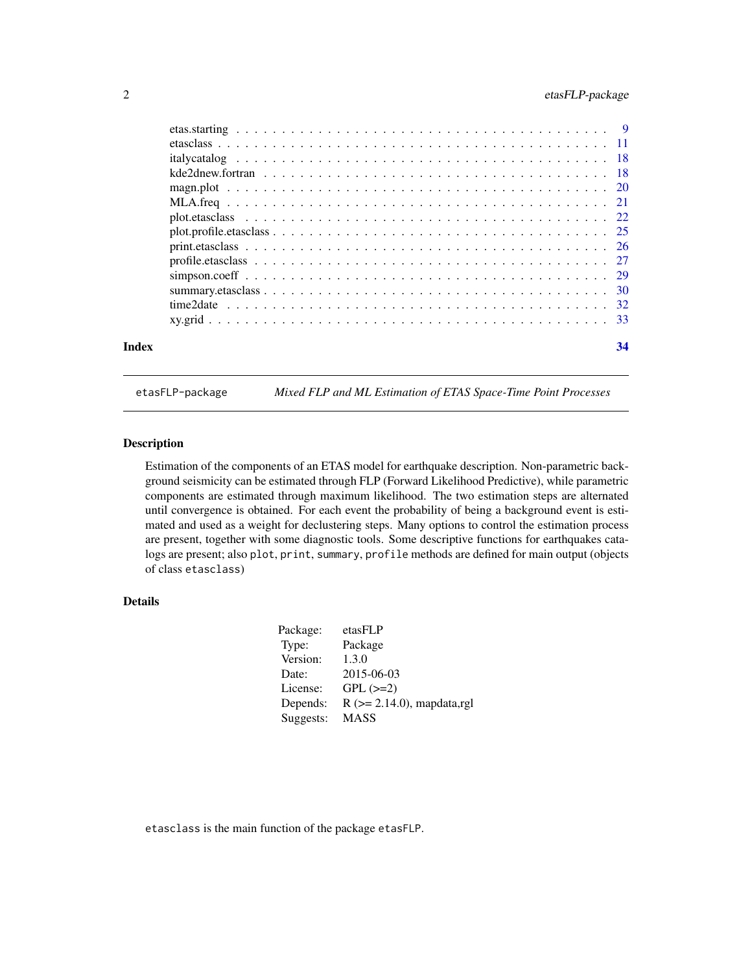<span id="page-1-0"></span>

| Index | 34 |
|-------|----|

etasFLP-package *Mixed FLP and ML Estimation of ETAS Space-Time Point Processes*

# Description

Estimation of the components of an ETAS model for earthquake description. Non-parametric background seismicity can be estimated through FLP (Forward Likelihood Predictive), while parametric components are estimated through maximum likelihood. The two estimation steps are alternated until convergence is obtained. For each event the probability of being a background event is estimated and used as a weight for declustering steps. Many options to control the estimation process are present, together with some diagnostic tools. Some descriptive functions for earthquakes catalogs are present; also plot, print, summary, profile methods are defined for main output (objects of class etasclass)

# Details

| Package:  | etasFLP                          |
|-----------|----------------------------------|
| Type:     | Package                          |
| Version:  | 1.3.0                            |
| Date:     | 2015-06-03                       |
| License:  | $GPL (=2)$                       |
| Depends:  | $R$ ( $>= 2.14.0$ ), mapdata,rgl |
| Suggests: | <b>MASS</b>                      |

etasclass is the main function of the package etasFLP.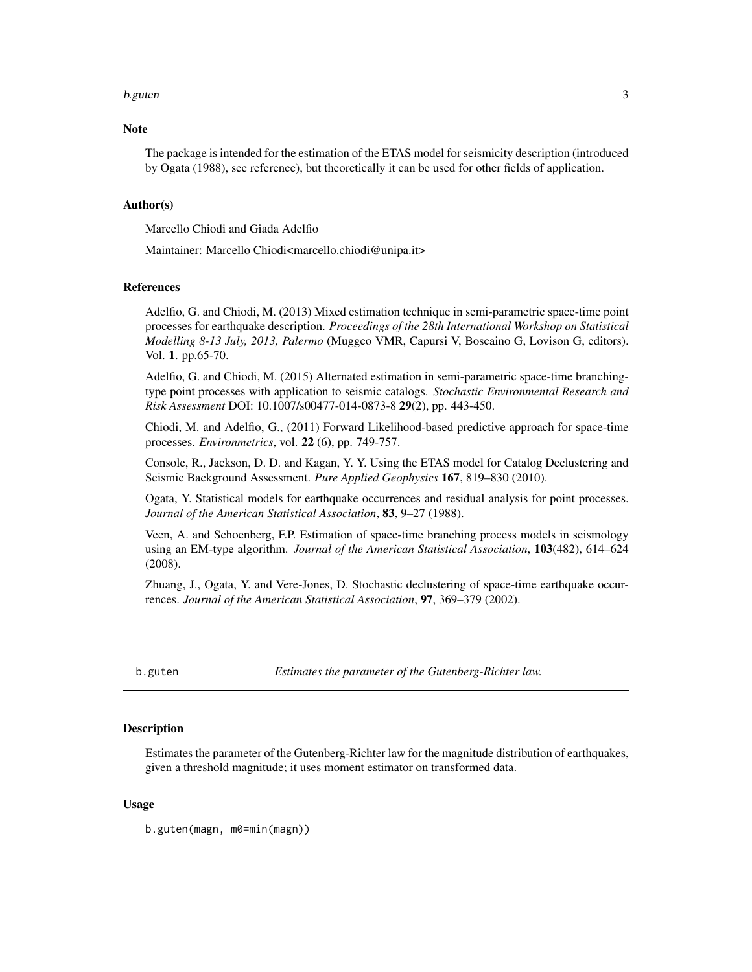#### <span id="page-2-0"></span>b.guten 3

#### **Note**

The package is intended for the estimation of the ETAS model for seismicity description (introduced by Ogata (1988), see reference), but theoretically it can be used for other fields of application.

#### Author(s)

Marcello Chiodi and Giada Adelfio

Maintainer: Marcello Chiodi<marcello.chiodi@unipa.it>

# References

Adelfio, G. and Chiodi, M. (2013) Mixed estimation technique in semi-parametric space-time point processes for earthquake description. *Proceedings of the 28th International Workshop on Statistical Modelling 8-13 July, 2013, Palermo* (Muggeo VMR, Capursi V, Boscaino G, Lovison G, editors). Vol. 1. pp.65-70.

Adelfio, G. and Chiodi, M. (2015) Alternated estimation in semi-parametric space-time branchingtype point processes with application to seismic catalogs. *Stochastic Environmental Research and Risk Assessment* DOI: 10.1007/s00477-014-0873-8 29(2), pp. 443-450.

Chiodi, M. and Adelfio, G., (2011) Forward Likelihood-based predictive approach for space-time processes. *Environmetrics*, vol. 22 (6), pp. 749-757.

Console, R., Jackson, D. D. and Kagan, Y. Y. Using the ETAS model for Catalog Declustering and Seismic Background Assessment. *Pure Applied Geophysics* 167, 819–830 (2010).

Ogata, Y. Statistical models for earthquake occurrences and residual analysis for point processes. *Journal of the American Statistical Association*, 83, 9–27 (1988).

Veen, A. and Schoenberg, F.P. Estimation of space-time branching process models in seismology using an EM-type algorithm. *Journal of the American Statistical Association*, 103(482), 614–624 (2008).

Zhuang, J., Ogata, Y. and Vere-Jones, D. Stochastic declustering of space-time earthquake occurrences. *Journal of the American Statistical Association*, 97, 369–379 (2002).

b.guten *Estimates the parameter of the Gutenberg-Richter law.*

### **Description**

Estimates the parameter of the Gutenberg-Richter law for the magnitude distribution of earthquakes, given a threshold magnitude; it uses moment estimator on transformed data.

#### Usage

b.guten(magn, m0=min(magn))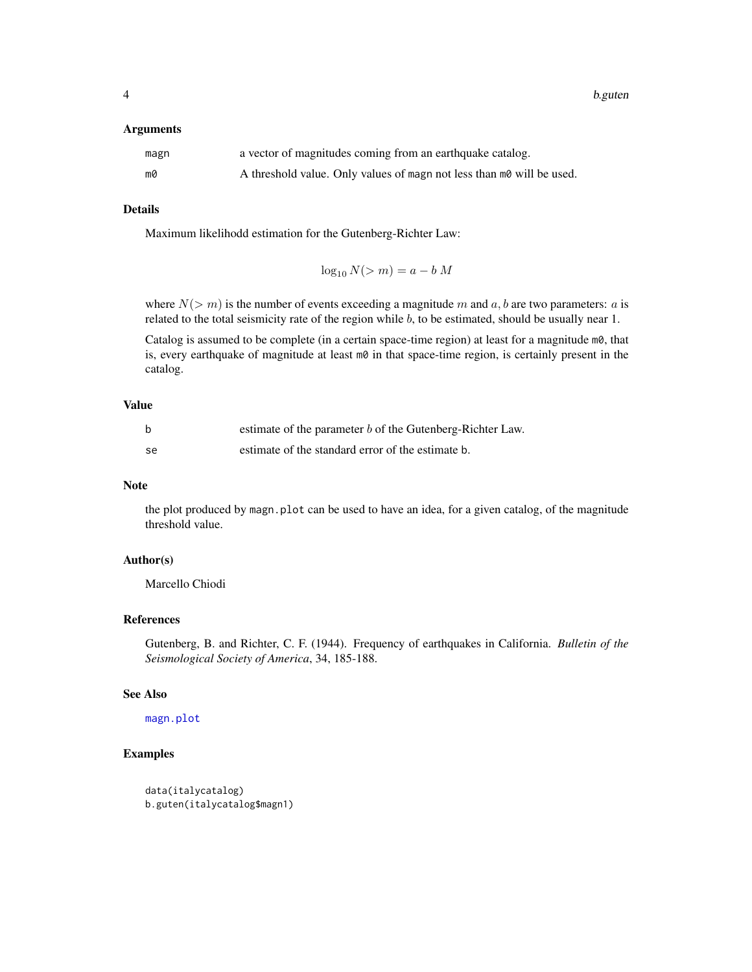<span id="page-3-0"></span>4 b.guten

#### **Arguments**

| magn | a vector of magnitudes coming from an earthquake catalog.             |
|------|-----------------------------------------------------------------------|
| m0   | A threshold value. Only values of magn not less than m0 will be used. |

# Details

Maximum likelihodd estimation for the Gutenberg-Richter Law:

 $\log_{10} N(> m) = a - b M$ 

where  $N(> m)$  is the number of events exceeding a magnitude m and a, b are two parameters: a is related to the total seismicity rate of the region while  $b$ , to be estimated, should be usually near 1.

Catalog is assumed to be complete (in a certain space-time region) at least for a magnitude  $m\theta$ , that is, every earthquake of magnitude at least  $m\theta$  in that space-time region, is certainly present in the catalog.

#### Value

|    | estimate of the parameter b of the Gutenberg-Richter Law. |
|----|-----------------------------------------------------------|
| se | estimate of the standard error of the estimate b.         |

### Note

the plot produced by magn.plot can be used to have an idea, for a given catalog, of the magnitude threshold value.

#### Author(s)

Marcello Chiodi

# References

Gutenberg, B. and Richter, C. F. (1944). Frequency of earthquakes in California. *Bulletin of the Seismological Society of America*, 34, 185-188.

# See Also

[magn.plot](#page-19-1)

#### Examples

```
data(italycatalog)
b.guten(italycatalog$magn1)
```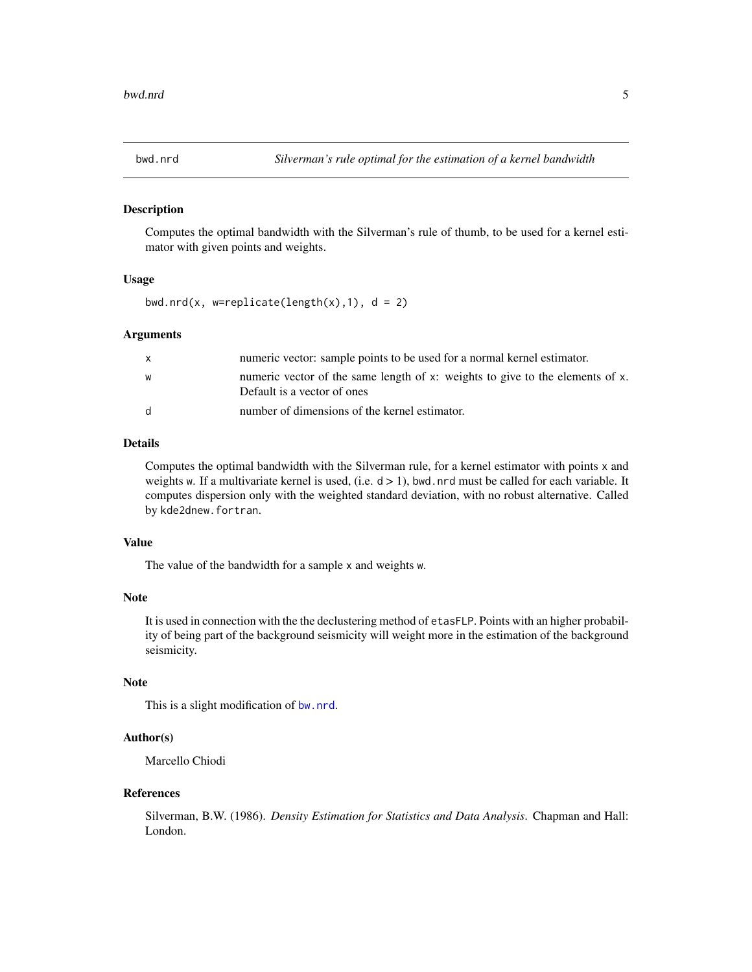<span id="page-4-0"></span>

Computes the optimal bandwidth with the Silverman's rule of thumb, to be used for a kernel estimator with given points and weights.

#### Usage

```
bwd.nrd(x, w=replicate(length(x),1), d = 2)
```
#### Arguments

| $\mathsf{x}$ | numeric vector: sample points to be used for a normal kernel estimator.                                      |
|--------------|--------------------------------------------------------------------------------------------------------------|
| W            | numeric vector of the same length of x: weights to give to the elements of x.<br>Default is a vector of ones |
| d            | number of dimensions of the kernel estimator.                                                                |

# Details

Computes the optimal bandwidth with the Silverman rule, for a kernel estimator with points x and weights w. If a multivariate kernel is used, (i.e.  $d > 1$ ), bwd.nrd must be called for each variable. It computes dispersion only with the weighted standard deviation, with no robust alternative. Called by kde2dnew.fortran.

# Value

The value of the bandwidth for a sample x and weights w.

#### Note

It is used in connection with the the declustering method of etasFLP. Points with an higher probability of being part of the background seismicity will weight more in the estimation of the background seismicity.

# Note

This is a slight modification of [bw.nrd](#page-0-0).

#### Author(s)

Marcello Chiodi

#### References

Silverman, B.W. (1986). *Density Estimation for Statistics and Data Analysis*. Chapman and Hall: London.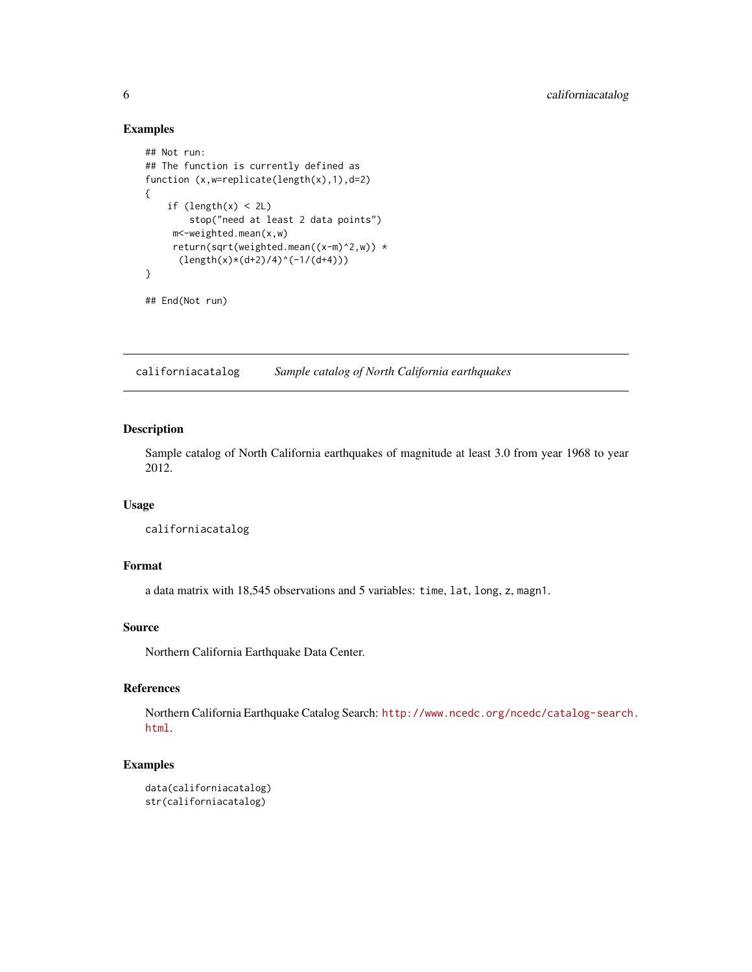#### Examples

```
## Not run:
## The function is currently defined as
function (x,w=replicate(length(x),1),d=2)
{
    if (length(x) < 2L)stop("need at least 2 data points")
    m<-weighted.mean(x,w)
    return(sqrt(weighted.mean((x-m)^2,w)) *
      (length(x)*(d+2)/4)^(-1/(d+4)))}
## End(Not run)
```
californiacatalog *Sample catalog of North California earthquakes*

# Description

Sample catalog of North California earthquakes of magnitude at least 3.0 from year 1968 to year 2012.

# Usage

californiacatalog

# Format

a data matrix with 18,545 observations and 5 variables: time, lat, long, z, magn1.

# Source

Northern California Earthquake Data Center.

# References

Northern California Earthquake Catalog Search: [http://www.ncedc.org/ncedc/catalog-search](http://www.ncedc.org/ncedc/catalog-search.html). [html](http://www.ncedc.org/ncedc/catalog-search.html).

# Examples

```
data(californiacatalog)
str(californiacatalog)
```
<span id="page-5-0"></span>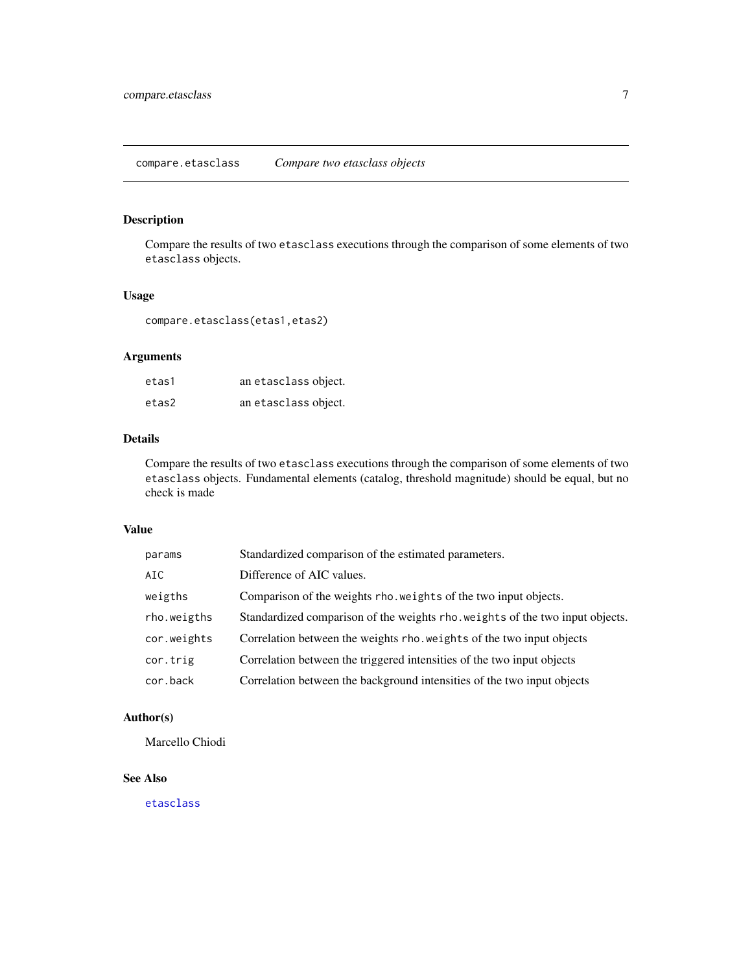<span id="page-6-0"></span>Compare the results of two etasclass executions through the comparison of some elements of two etasclass objects.

# Usage

compare.etasclass(etas1,etas2)

# Arguments

| etas1 | an etasclass object. |
|-------|----------------------|
| etas2 | an etasclass object. |

# Details

Compare the results of two etasclass executions through the comparison of some elements of two etasclass objects. Fundamental elements (catalog, threshold magnitude) should be equal, but no check is made

#### Value

| params      | Standardized comparison of the estimated parameters.                          |
|-------------|-------------------------------------------------------------------------------|
| AIC.        | Difference of AIC values.                                                     |
| weigths     | Comparison of the weights rho. weights of the two input objects.              |
| rho.weigths | Standardized comparison of the weights rho. weights of the two input objects. |
| cor.weights | Correlation between the weights rho. weights of the two input objects         |
| cor.trig    | Correlation between the triggered intensities of the two input objects        |
| cor.back    | Correlation between the background intensities of the two input objects       |
|             |                                                                               |

# Author(s)

Marcello Chiodi

# See Also

[etasclass](#page-10-1)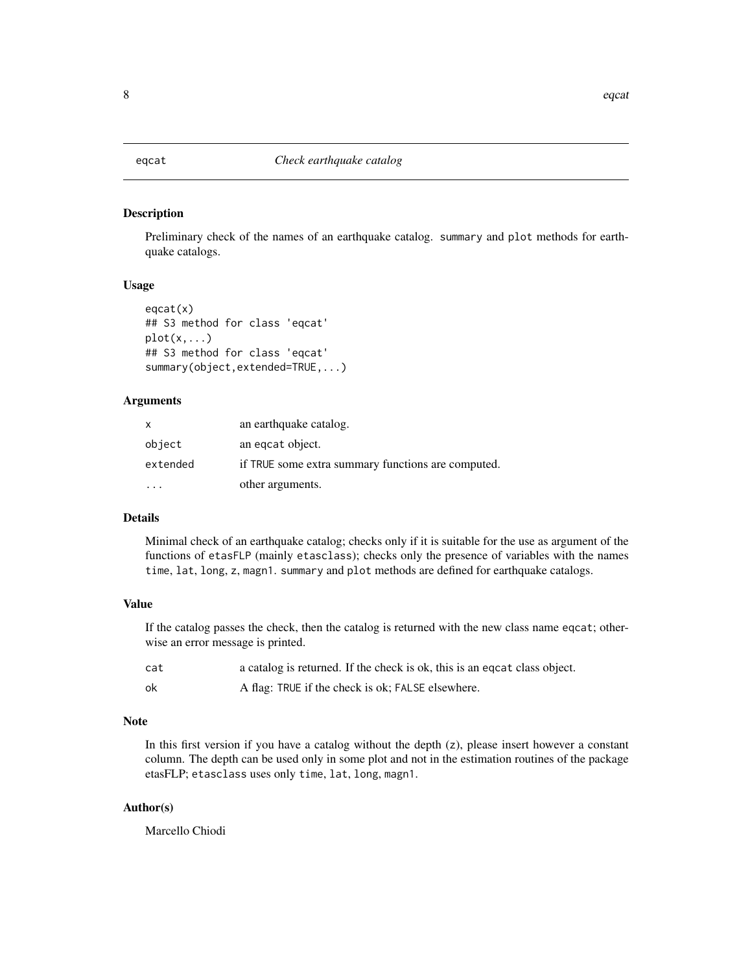<span id="page-7-1"></span><span id="page-7-0"></span>

Preliminary check of the names of an earthquake catalog. summary and plot methods for earthquake catalogs.

#### Usage

```
eqcat(x)
## S3 method for class 'eqcat'
plot(x, \ldots)## S3 method for class 'eqcat'
summary(object,extended=TRUE,...)
```
#### Arguments

| x        | an earthquake catalog.                             |
|----------|----------------------------------------------------|
| object   | an eqcat object.                                   |
| extended | if TRUE some extra summary functions are computed. |
|          | other arguments.                                   |

# Details

Minimal check of an earthquake catalog; checks only if it is suitable for the use as argument of the functions of etasFLP (mainly etasclass); checks only the presence of variables with the names time, lat, long, z, magn1. summary and plot methods are defined for earthquake catalogs.

# Value

If the catalog passes the check, then the catalog is returned with the new class name eqcat; otherwise an error message is printed.

| cat | a catalog is returned. If the check is ok, this is an equation class object. |
|-----|------------------------------------------------------------------------------|
| ok  | A flag: TRUE if the check is ok; FALSE elsewhere.                            |

# Note

In this first version if you have a catalog without the depth  $(z)$ , please insert however a constant column. The depth can be used only in some plot and not in the estimation routines of the package etasFLP; etasclass uses only time, lat, long, magn1.

# Author(s)

Marcello Chiodi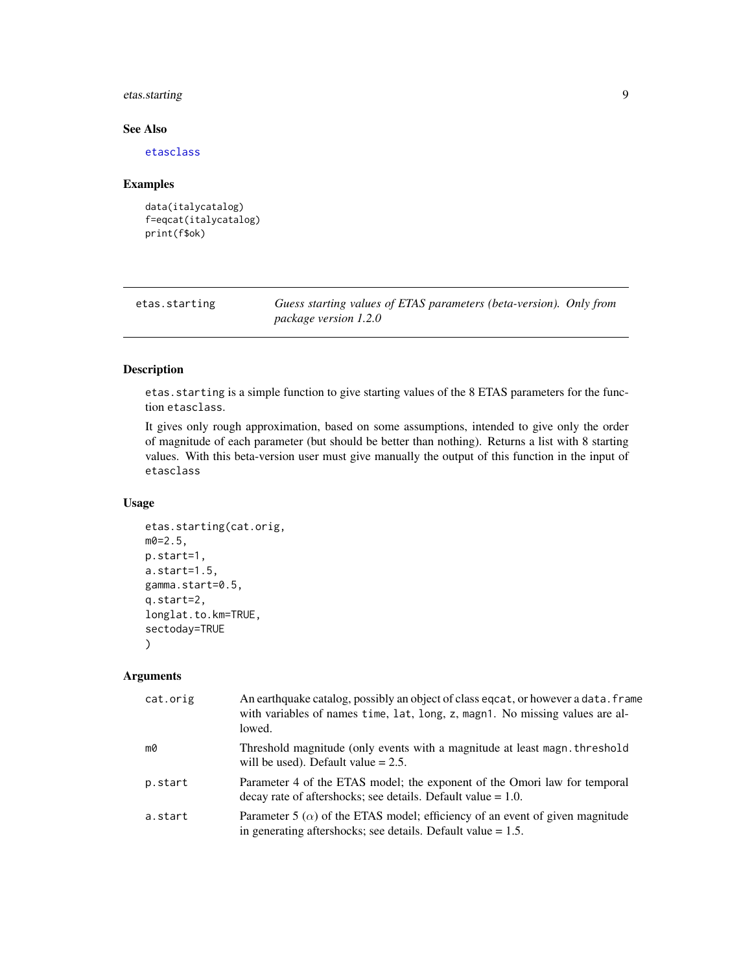# <span id="page-8-0"></span>etas.starting 9

# See Also

[etasclass](#page-10-1)

#### Examples

```
data(italycatalog)
f=eqcat(italycatalog)
print(f$ok)
```

| etas.starting | Guess starting values of ETAS parameters (beta-version). Only from |  |
|---------------|--------------------------------------------------------------------|--|
|               | <i>package version 1.2.0</i>                                       |  |

# Description

etas.starting is a simple function to give starting values of the 8 ETAS parameters for the function etasclass.

It gives only rough approximation, based on some assumptions, intended to give only the order of magnitude of each parameter (but should be better than nothing). Returns a list with 8 starting values. With this beta-version user must give manually the output of this function in the input of etasclass

# Usage

```
etas.starting(cat.orig,
m0=2.5,
p.start=1,
a.start=1.5,
gamma.start=0.5,
q.start=2,
longlat.to.km=TRUE,
sectoday=TRUE
)
```
# Arguments

| cat.orig | An earthquake catalog, possibly an object of class eqcat, or however a data. frame<br>with variables of names time, lat, long, z, magn1. No missing values are al-<br>lowed. |
|----------|------------------------------------------------------------------------------------------------------------------------------------------------------------------------------|
| mØ       | Threshold magnitude (only events with a magnitude at least magn. threshold<br>will be used). Default value $= 2.5$ .                                                         |
| p.start  | Parameter 4 of the ETAS model; the exponent of the Omori law for temporal<br>$\alpha$ decay rate of aftershocks; see details. Default value = 1.0.                           |
| a.start  | Parameter 5 ( $\alpha$ ) of the ETAS model; efficiency of an event of given magnitude<br>in generating aftershocks; see details. Default value $= 1.5$ .                     |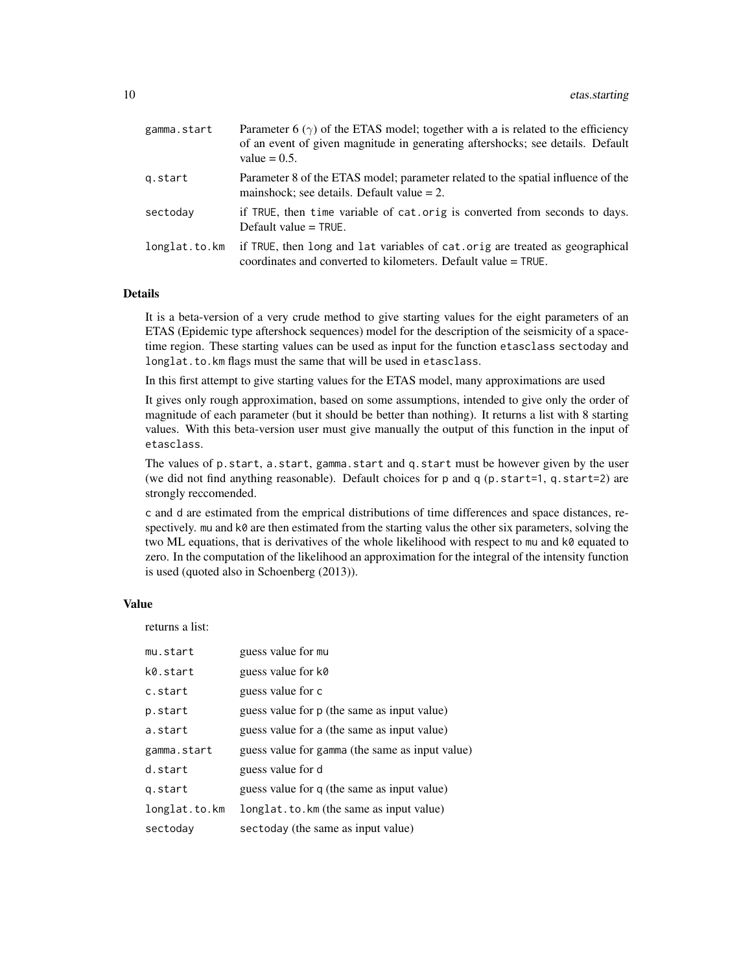| gamma.start   | Parameter 6 $(\gamma)$ of the ETAS model; together with a is related to the efficiency<br>of an event of given magnitude in generating aftershocks; see details. Default<br>value $= 0.5$ . |
|---------------|---------------------------------------------------------------------------------------------------------------------------------------------------------------------------------------------|
| g.start       | Parameter 8 of the ETAS model; parameter related to the spatial influence of the<br>mainshock; see details. Default value $= 2$ .                                                           |
| sectoday      | if TRUE, then time variable of cat.orig is converted from seconds to days.<br>Default value $=$ TRUE.                                                                                       |
| longlat.to.km | if TRUE, then long and lat variables of cat orig are treated as geographical<br>coordinates and converted to kilometers. Default value = TRUE.                                              |

#### Details

It is a beta-version of a very crude method to give starting values for the eight parameters of an ETAS (Epidemic type aftershock sequences) model for the description of the seismicity of a spacetime region. These starting values can be used as input for the function etasclass sectoday and longlat.to.km flags must the same that will be used in etasclass.

In this first attempt to give starting values for the ETAS model, many approximations are used

It gives only rough approximation, based on some assumptions, intended to give only the order of magnitude of each parameter (but it should be better than nothing). It returns a list with 8 starting values. With this beta-version user must give manually the output of this function in the input of etasclass.

The values of p.start, a.start, gamma.start and q.start must be however given by the user (we did not find anything reasonable). Default choices for p and q (p.start=1, q.start=2) are strongly reccomended.

c and d are estimated from the emprical distributions of time differences and space distances, respectively. mu and k0 are then estimated from the starting valus the other six parameters, solving the two ML equations, that is derivatives of the whole likelihood with respect to mu and k0 equated to zero. In the computation of the likelihood an approximation for the integral of the intensity function is used (quoted also in Schoenberg (2013)).

#### Value

returns a list:

| mu.start      | guess value for mu                              |
|---------------|-------------------------------------------------|
| k0.start      | guess value for k0                              |
| c.start       | guess value for c                               |
| p.start       | guess value for p (the same as input value)     |
| a.start       | guess value for a (the same as input value)     |
| gamma.start   | guess value for gamma (the same as input value) |
| d.start       | guess value for d                               |
| g.start       | guess value for q (the same as input value)     |
| longlat.to.km | longlat.to.km (the same as input value)         |
| sectoday      | sectoday (the same as input value)              |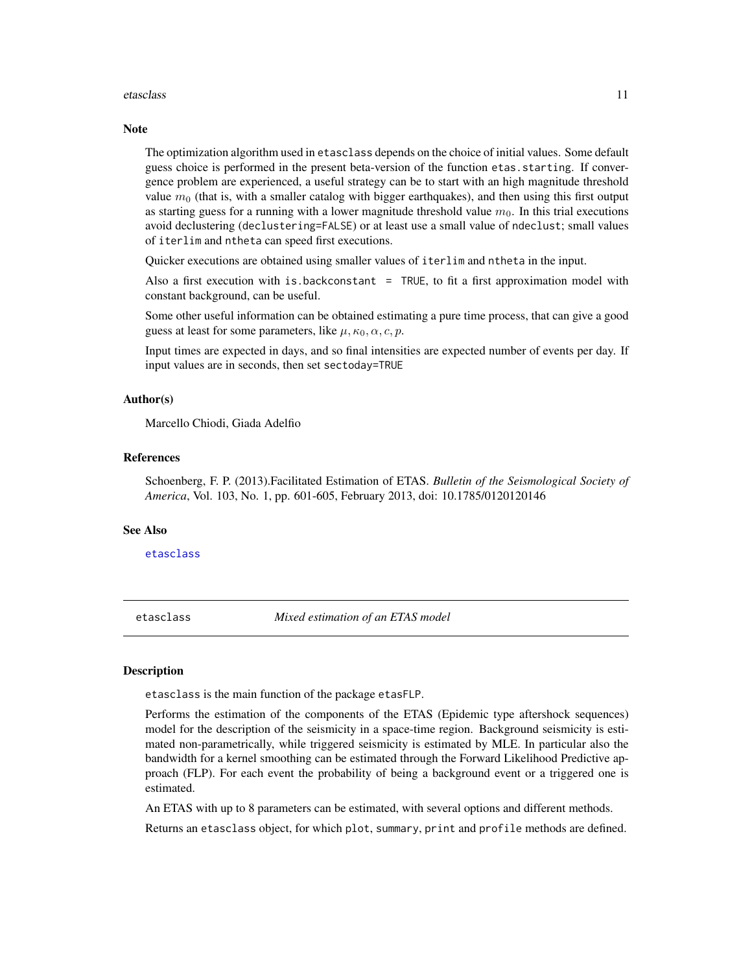#### <span id="page-10-0"></span>etasclass and the contract of the contract of the contract of the contract of the contract of the contract of the contract of the contract of the contract of the contract of the contract of the contract of the contract of

#### **Note**

The optimization algorithm used in etasclass depends on the choice of initial values. Some default guess choice is performed in the present beta-version of the function etas.starting. If convergence problem are experienced, a useful strategy can be to start with an high magnitude threshold value  $m<sub>0</sub>$  (that is, with a smaller catalog with bigger earthquakes), and then using this first output as starting guess for a running with a lower magnitude threshold value  $m<sub>0</sub>$ . In this trial executions avoid declustering (declustering=FALSE) or at least use a small value of ndeclust; small values of iterlim and ntheta can speed first executions.

Quicker executions are obtained using smaller values of iterlim and ntheta in the input.

Also a first execution with is.backconstant  $=$  TRUE, to fit a first approximation model with constant background, can be useful.

Some other useful information can be obtained estimating a pure time process, that can give a good guess at least for some parameters, like  $\mu$ ,  $\kappa_0$ ,  $\alpha$ ,  $c$ ,  $p$ .

Input times are expected in days, and so final intensities are expected number of events per day. If input values are in seconds, then set sectoday=TRUE

#### Author(s)

Marcello Chiodi, Giada Adelfio

#### References

Schoenberg, F. P. (2013).Facilitated Estimation of ETAS. *Bulletin of the Seismological Society of America*, Vol. 103, No. 1, pp. 601-605, February 2013, doi: 10.1785/0120120146

#### See Also

[etasclass](#page-10-1)

<span id="page-10-1"></span>etasclass *Mixed estimation of an ETAS model*

#### **Description**

etasclass is the main function of the package etasFLP.

Performs the estimation of the components of the ETAS (Epidemic type aftershock sequences) model for the description of the seismicity in a space-time region. Background seismicity is estimated non-parametrically, while triggered seismicity is estimated by MLE. In particular also the bandwidth for a kernel smoothing can be estimated through the Forward Likelihood Predictive approach (FLP). For each event the probability of being a background event or a triggered one is estimated.

An ETAS with up to 8 parameters can be estimated, with several options and different methods.

Returns an etasclass object, for which plot, summary, print and profile methods are defined.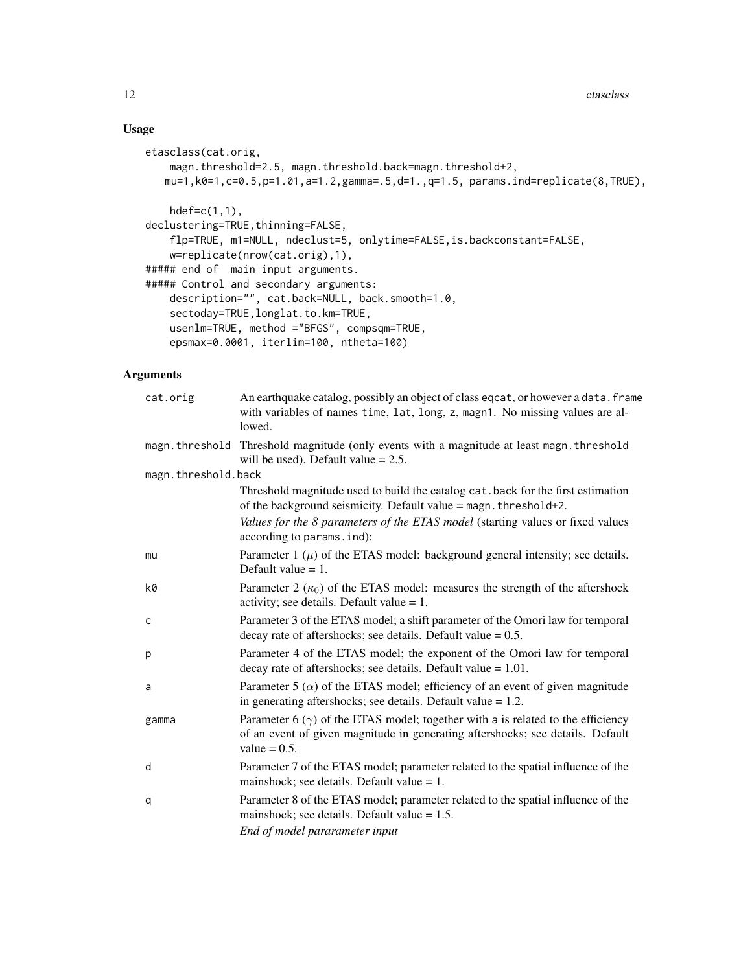# Usage

```
etasclass(cat.orig,
   magn.threshold=2.5, magn.threshold.back=magn.threshold+2,
   mu=1,k0=1,c=0.5,p=1.01,a=1.2,gamma=.5,d=1.,q=1.5, params.ind=replicate(8,TRUE),
   hdef=c(1,1),
declustering=TRUE, thinning=FALSE,
   flp=TRUE, m1=NULL, ndeclust=5, onlytime=FALSE,is.backconstant=FALSE,
    w=replicate(nrow(cat.orig),1),
##### end of main input arguments.
##### Control and secondary arguments:
    description="", cat.back=NULL, back.smooth=1.0,
    sectoday=TRUE,longlat.to.km=TRUE,
   usenlm=TRUE, method ="BFGS", compsqm=TRUE,
    epsmax=0.0001, iterlim=100, ntheta=100)
```
# Arguments

| cat.orig            | An earthquake catalog, possibly an object of class eqcat, or however a data. frame<br>with variables of names time, lat, long, z, magn1. No missing values are al-<br>lowed.                |
|---------------------|---------------------------------------------------------------------------------------------------------------------------------------------------------------------------------------------|
|                     | magn. threshold Threshold magnitude (only events with a magnitude at least magn. threshold<br>will be used). Default value $= 2.5$ .                                                        |
| magn.threshold.back |                                                                                                                                                                                             |
|                     | Threshold magnitude used to build the catalog cat. back for the first estimation<br>of the background seismicity. Default value = magn. threshold+2.                                        |
|                     | Values for the 8 parameters of the ETAS model (starting values or fixed values<br>according to params. ind):                                                                                |
| mu                  | Parameter $1(\mu)$ of the ETAS model: background general intensity; see details.<br>Default value $= 1$ .                                                                                   |
| k0                  | Parameter 2 $(\kappa_0)$ of the ETAS model: measures the strength of the aftershock<br>activity; see details. Default value $= 1$ .                                                         |
| $\mathsf{C}$        | Parameter 3 of the ETAS model; a shift parameter of the Omori law for temporal<br>decay rate of aftershocks; see details. Default value $= 0.5$ .                                           |
| p                   | Parameter 4 of the ETAS model; the exponent of the Omori law for temporal<br>decay rate of aftershocks; see details. Default value $= 1.01$ .                                               |
| a                   | Parameter 5 ( $\alpha$ ) of the ETAS model; efficiency of an event of given magnitude<br>in generating aftershocks; see details. Default value $= 1.2$ .                                    |
| gamma               | Parameter 6 $(\gamma)$ of the ETAS model; together with a is related to the efficiency<br>of an event of given magnitude in generating aftershocks; see details. Default<br>value $= 0.5$ . |
| d                   | Parameter 7 of the ETAS model; parameter related to the spatial influence of the<br>mainshock; see details. Default value $= 1$ .                                                           |
| q                   | Parameter 8 of the ETAS model; parameter related to the spatial influence of the<br>mainshock; see details. Default value $= 1.5$ .                                                         |
|                     | End of model pararameter input                                                                                                                                                              |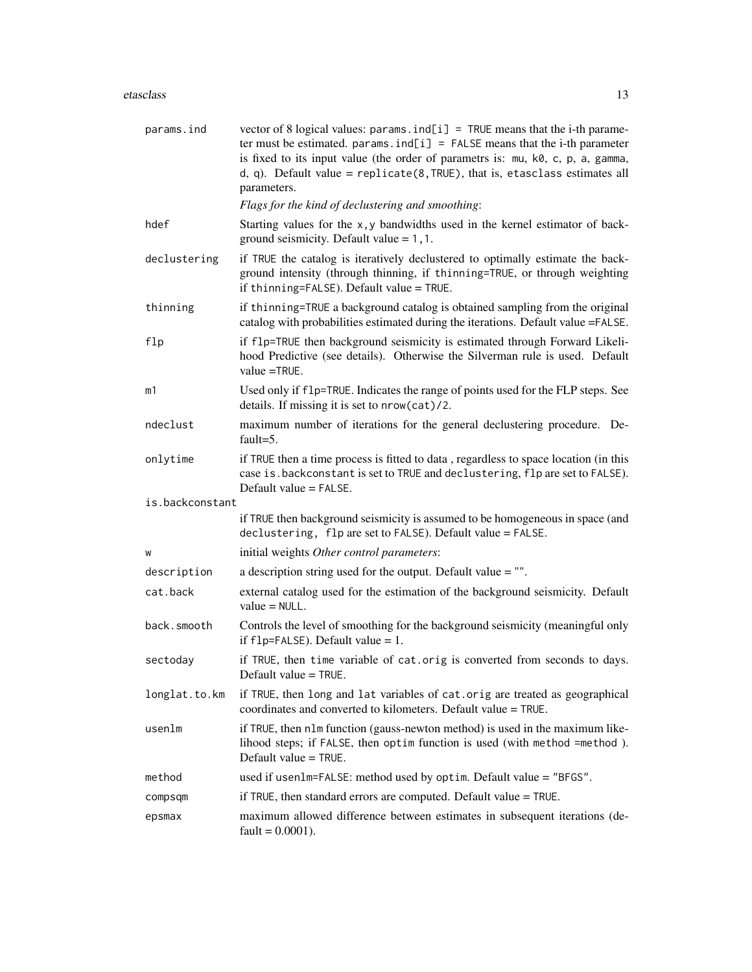#### etasclass and the contract of the contract of the contract of the contract of the contract of the contract of the contract of the contract of the contract of the contract of the contract of the contract of the contract of

| params.ind      | vector of 8 logical values: $params$ . $ind[i] = TRUE$ means that the i-th parame-<br>ter must be estimated. params. $ind[i] = FALSE$ means that the i-th parameter<br>is fixed to its input value (the order of parametrs is: mu, k0, c, p, a, gamma,<br>d, q). Default value = $replicate(8, TRUE)$ , that is, etasclass estimates all<br>parameters. |
|-----------------|---------------------------------------------------------------------------------------------------------------------------------------------------------------------------------------------------------------------------------------------------------------------------------------------------------------------------------------------------------|
|                 | Flags for the kind of declustering and smoothing:                                                                                                                                                                                                                                                                                                       |
| hdef            | Starting values for the x, y bandwidths used in the kernel estimator of back-<br>ground seismicity. Default value $= 1, 1$ .                                                                                                                                                                                                                            |
| declustering    | if TRUE the catalog is iteratively declustered to optimally estimate the back-<br>ground intensity (through thinning, if thinning=TRUE, or through weighting<br>if thinning=FALSE). Default value = TRUE.                                                                                                                                               |
| thinning        | if thinning=TRUE a background catalog is obtained sampling from the original<br>catalog with probabilities estimated during the iterations. Default value =FALSE.                                                                                                                                                                                       |
| flp             | if f1p=TRUE then background seismicity is estimated through Forward Likeli-<br>hood Predictive (see details). Otherwise the Silverman rule is used. Default<br>value $=$ TRUE.                                                                                                                                                                          |
| m1              | Used only if f1p=TRUE. Indicates the range of points used for the FLP steps. See<br>details. If missing it is set to nrow(cat)/2.                                                                                                                                                                                                                       |
| ndeclust        | maximum number of iterations for the general declustering procedure. De-<br>fault= $5$ .                                                                                                                                                                                                                                                                |
| onlytime        | if TRUE then a time process is fitted to data, regardless to space location (in this<br>case is. backconstant is set to TRUE and declustering, flp are set to FALSE).<br>Default value $=$ FALSE.                                                                                                                                                       |
| is.backconstant |                                                                                                                                                                                                                                                                                                                                                         |
|                 | if TRUE then background seismicity is assumed to be homogeneous in space (and<br>declustering, flp are set to FALSE). Default value = FALSE.                                                                                                                                                                                                            |
| W               | initial weights Other control parameters:                                                                                                                                                                                                                                                                                                               |
| description     | a description string used for the output. Default value $=$ "".                                                                                                                                                                                                                                                                                         |
| cat.back        | external catalog used for the estimation of the background seismicity. Default<br>$value = NULL$ .                                                                                                                                                                                                                                                      |
| back.smooth     | Controls the level of smoothing for the background seismicity (meaningful only<br>if $flp = FALSE$ ). Default value = 1.                                                                                                                                                                                                                                |
| sectoday        | if TRUE, then time variable of cat.orig is converted from seconds to days.<br>Default value $=$ TRUE.                                                                                                                                                                                                                                                   |
| longlat.to.km   | if TRUE, then long and lat variables of cat.orig are treated as geographical<br>coordinates and converted to kilometers. Default value = TRUE.                                                                                                                                                                                                          |
| usenlm          | if TRUE, then nlm function (gauss-newton method) is used in the maximum like-<br>lihood steps; if FALSE, then optim function is used (with method =method).<br>Default value = TRUE.                                                                                                                                                                    |
| method          | used if usenlm=FALSE: method used by optim. Default value = "BFGS".                                                                                                                                                                                                                                                                                     |
| compsqm         | if TRUE, then standard errors are computed. Default value = TRUE.                                                                                                                                                                                                                                                                                       |
| epsmax          | maximum allowed difference between estimates in subsequent iterations (de-<br>fault = $0.0001$ ).                                                                                                                                                                                                                                                       |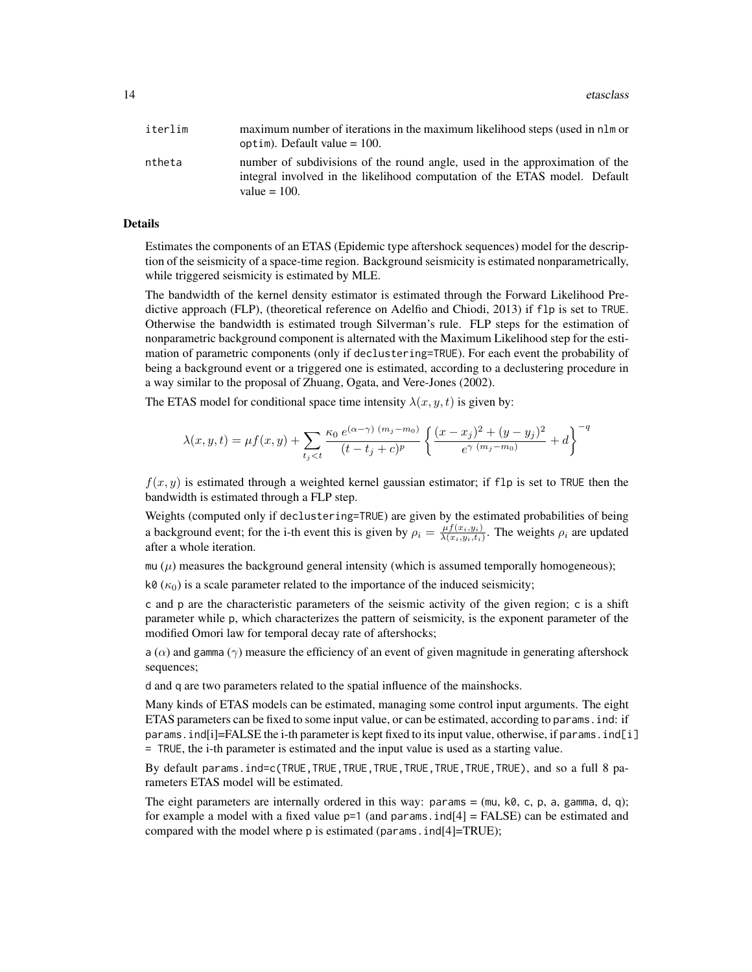| iterlim | maximum number of iterations in the maximum likelihood steps (used in nlm or |
|---------|------------------------------------------------------------------------------|
|         | optim). Default value $= 100$ .                                              |
| ntheta  | number of subdivisions of the round angle, used in the approximation of the  |
|         | integral involved in the likelihood computation of the ETAS model. Default   |
|         | value $= 100$ .                                                              |

#### Details

Estimates the components of an ETAS (Epidemic type aftershock sequences) model for the description of the seismicity of a space-time region. Background seismicity is estimated nonparametrically, while triggered seismicity is estimated by MLE.

The bandwidth of the kernel density estimator is estimated through the Forward Likelihood Predictive approach (FLP), (theoretical reference on Adelfio and Chiodi, 2013) if flp is set to TRUE. Otherwise the bandwidth is estimated trough Silverman's rule. FLP steps for the estimation of nonparametric background component is alternated with the Maximum Likelihood step for the estimation of parametric components (only if declustering=TRUE). For each event the probability of being a background event or a triggered one is estimated, according to a declustering procedure in a way similar to the proposal of Zhuang, Ogata, and Vere-Jones (2002).

The ETAS model for conditional space time intensity  $\lambda(x, y, t)$  is given by:

$$
\lambda(x, y, t) = \mu f(x, y) + \sum_{t_j < t} \frac{\kappa_0 e^{(\alpha - \gamma)(m_j - m_0)}}{(t - t_j + c)^p} \left\{ \frac{(x - x_j)^2 + (y - y_j)^2}{e^{\gamma(m_j - m_0)}} + d \right\}^{-q}
$$

 $f(x, y)$  is estimated through a weighted kernel gaussian estimator; if flp is set to TRUE then the bandwidth is estimated through a FLP step.

Weights (computed only if declustering=TRUE) are given by the estimated probabilities of being a background event; for the i-th event this is given by  $\rho_i = \frac{\mu f(x_i, y_i)}{\lambda(x_i, y_i, t_i)}$  $\frac{\mu_j(x_i, y_i)}{\lambda(x_i, y_i, t_i)}$ . The weights  $\rho_i$  are updated after a whole iteration.

mu  $(\mu)$  measures the background general intensity (which is assumed temporally homogeneous);

k0  $(\kappa_0)$  is a scale parameter related to the importance of the induced seismicity;

c and p are the characteristic parameters of the seismic activity of the given region; c is a shift parameter while p, which characterizes the pattern of seismicity, is the exponent parameter of the modified Omori law for temporal decay rate of aftershocks;

a ( $\alpha$ ) and gamma ( $\gamma$ ) measure the efficiency of an event of given magnitude in generating aftershock sequences;

d and q are two parameters related to the spatial influence of the mainshocks.

Many kinds of ETAS models can be estimated, managing some control input arguments. The eight ETAS parameters can be fixed to some input value, or can be estimated, according to params.ind: if params.ind[i]=FALSE the i-th parameter is kept fixed to its input value, otherwise, if params.ind[i] = TRUE, the i-th parameter is estimated and the input value is used as a starting value.

By default params.ind=c(TRUE,TRUE,TRUE,TRUE,TRUE,TRUE,TRUE,TRUE), and so a full 8 parameters ETAS model will be estimated.

The eight parameters are internally ordered in this way: params  $=$  (mu, k $\theta$ , c, p, a, gamma, d, q); for example a model with a fixed value  $p=1$  (and params. ind [4] = FALSE) can be estimated and compared with the model where p is estimated (params.ind[4]=TRUE);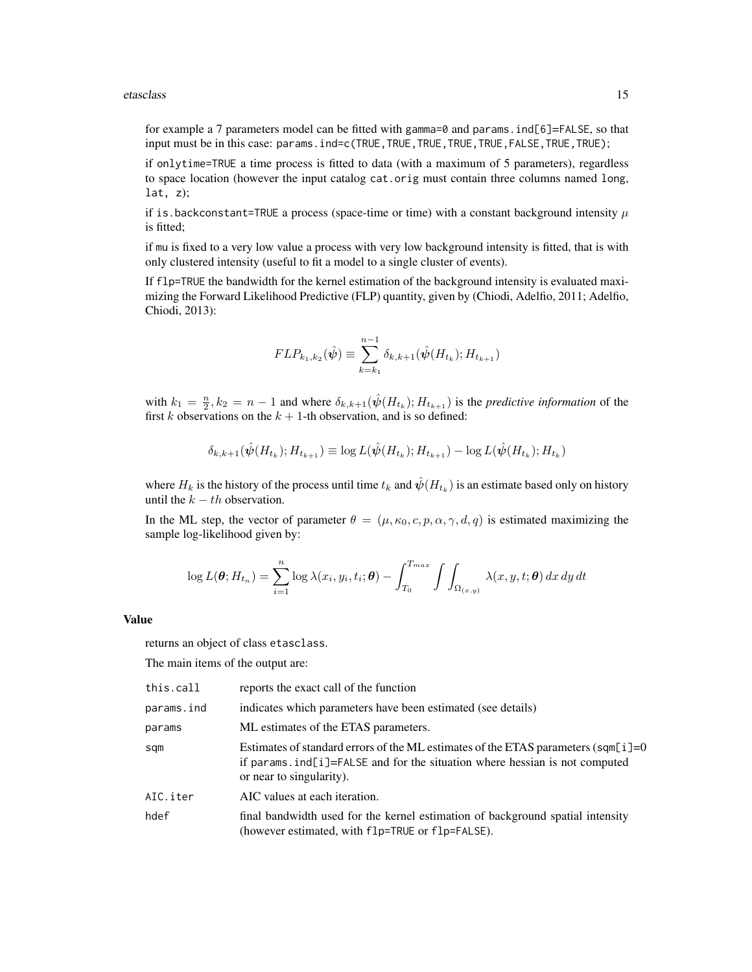#### etasclass and the contract of the contract of the contract of the contract of the contract of the contract of the contract of the contract of the contract of the contract of the contract of the contract of the contract of

for example a 7 parameters model can be fitted with gamma=0 and params. ind[6]=FALSE, so that input must be in this case: params.ind=c(TRUE,TRUE,TRUE,TRUE,TRUE,FALSE,TRUE,TRUE);

if onlytime=TRUE a time process is fitted to data (with a maximum of 5 parameters), regardless to space location (however the input catalog cat.orig must contain three columns named long, lat, z);

if is.backconstant=TRUE a process (space-time or time) with a constant background intensity  $\mu$ is fitted;

if mu is fixed to a very low value a process with very low background intensity is fitted, that is with only clustered intensity (useful to fit a model to a single cluster of events).

If flp=TRUE the bandwidth for the kernel estimation of the background intensity is evaluated maximizing the Forward Likelihood Predictive (FLP) quantity, given by (Chiodi, Adelfio, 2011; Adelfio, Chiodi, 2013):

$$
FLP_{k_1,k_2}(\hat{\psi}) \equiv \sum_{k=k_1}^{n-1} \delta_{k,k+1}(\hat{\psi}(H_{t_k}); H_{t_{k+1}})
$$

with  $k_1 = \frac{n}{2}$ ,  $k_2 = n - 1$  and where  $\delta_{k,k+1}(\hat{\psi}(H_{t_k}); H_{t_{k+1}})$  is the *predictive information* of the first k observations on the  $k + 1$ -th observation, and is so defined:

$$
\delta_{k,k+1}(\hat{\psi}(H_{t_k}); H_{t_{k+1}}) \equiv \log L(\hat{\psi}(H_{t_k}); H_{t_{k+1}}) - \log L(\hat{\psi}(H_{t_k}); H_{t_k})
$$

where  $H_k$  is the history of the process until time  $t_k$  and  $\hat{\psi}(H_{t_k})$  is an estimate based only on history until the  $k - th$  observation.

In the ML step, the vector of parameter  $\theta = (\mu, \kappa_0, c, p, \alpha, \gamma, d, q)$  is estimated maximizing the sample log-likelihood given by:

$$
\log L(\boldsymbol{\theta}; H_{t_n}) = \sum_{i=1}^n \log \lambda(x_i, y_i, t_i; \boldsymbol{\theta}) - \int_{T_0}^{T_{max}} \int \int_{\Omega_{(x,y)}} \lambda(x, y, t; \boldsymbol{\theta}) dx dy dt
$$

#### Value

returns an object of class etasclass.

The main items of the output are:

| this.call  | reports the exact call of the function                                                                                                                                                                    |
|------------|-----------------------------------------------------------------------------------------------------------------------------------------------------------------------------------------------------------|
| params.ind | indicates which parameters have been estimated (see details)                                                                                                                                              |
| params     | ML estimates of the ETAS parameters.                                                                                                                                                                      |
| sqm        | Estimates of standard errors of the ML estimates of the ETAS parameters ( $\text{sgn[i]}=0$<br>if params ind $[i]$ =FALSE and for the situation where hessian is not computed<br>or near to singularity). |
| AIC.iter   | AIC values at each iteration.                                                                                                                                                                             |
| hdef       | final bandwidth used for the kernel estimation of background spatial intensity<br>(however estimated, with f1p=TRUE or f1p=FALSE).                                                                        |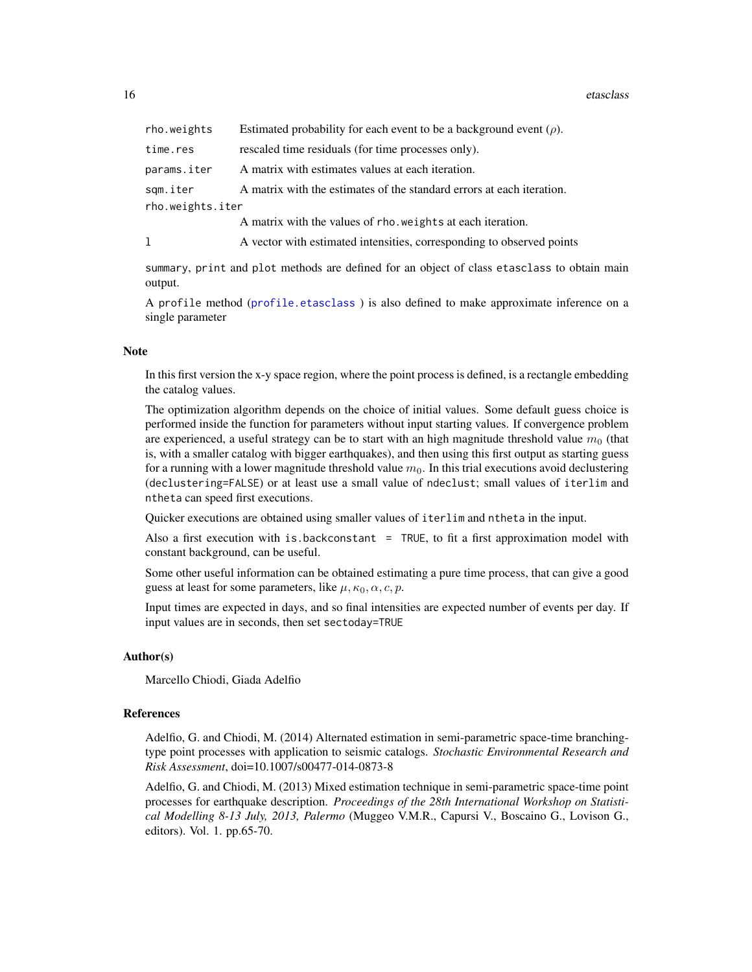<span id="page-15-0"></span>16 etasclass

| rho.weights      | Estimated probability for each event to be a background event $(\rho)$ . |  |
|------------------|--------------------------------------------------------------------------|--|
| time.res         | rescaled time residuals (for time processes only).                       |  |
| params.iter      | A matrix with estimates values at each iteration.                        |  |
| sqm.iter         | A matrix with the estimates of the standard errors at each iteration.    |  |
| rho.weights.iter |                                                                          |  |
|                  | A matrix with the values of rho, we ights at each iteration.             |  |
| ı                | A vector with estimated intensities, corresponding to observed points    |  |
|                  |                                                                          |  |

summary, print and plot methods are defined for an object of class etasclass to obtain main output.

A profile method ([profile.etasclass](#page-26-1) ) is also defined to make approximate inference on a single parameter

#### **Note**

In this first version the x-y space region, where the point process is defined, is a rectangle embedding the catalog values.

The optimization algorithm depends on the choice of initial values. Some default guess choice is performed inside the function for parameters without input starting values. If convergence problem are experienced, a useful strategy can be to start with an high magnitude threshold value  $m<sub>0</sub>$  (that is, with a smaller catalog with bigger earthquakes), and then using this first output as starting guess for a running with a lower magnitude threshold value  $m_0$ . In this trial executions avoid declustering (declustering=FALSE) or at least use a small value of ndeclust; small values of iterlim and ntheta can speed first executions.

Quicker executions are obtained using smaller values of iterlim and ntheta in the input.

Also a first execution with is.backconstant  $=$  TRUE, to fit a first approximation model with constant background, can be useful.

Some other useful information can be obtained estimating a pure time process, that can give a good guess at least for some parameters, like  $\mu$ ,  $\kappa_0$ ,  $\alpha$ ,  $c$ ,  $p$ .

Input times are expected in days, and so final intensities are expected number of events per day. If input values are in seconds, then set sectoday=TRUE

# Author(s)

Marcello Chiodi, Giada Adelfio

#### References

Adelfio, G. and Chiodi, M. (2014) Alternated estimation in semi-parametric space-time branchingtype point processes with application to seismic catalogs. *Stochastic Environmental Research and Risk Assessment*, doi=10.1007/s00477-014-0873-8

Adelfio, G. and Chiodi, M. (2013) Mixed estimation technique in semi-parametric space-time point processes for earthquake description. *Proceedings of the 28th International Workshop on Statistical Modelling 8-13 July, 2013, Palermo* (Muggeo V.M.R., Capursi V., Boscaino G., Lovison G., editors). Vol. 1. pp.65-70.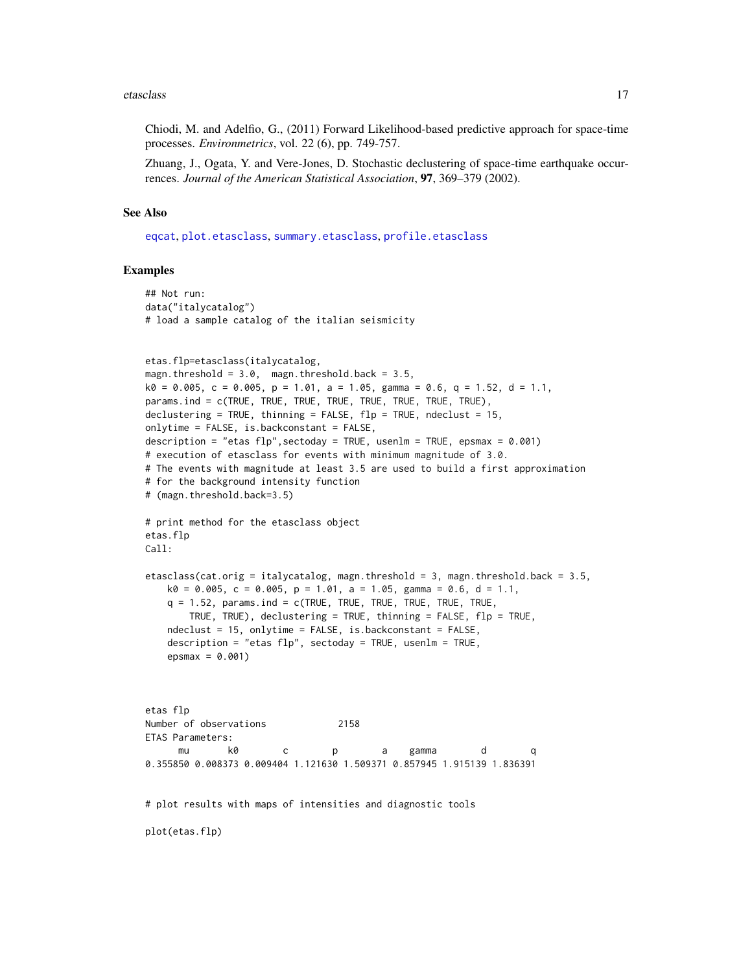#### <span id="page-16-0"></span>etasclass and the contract of the contract of the contract of the contract of the contract of the contract of the contract of the contract of the contract of the contract of the contract of the contract of the contract of

Chiodi, M. and Adelfio, G., (2011) Forward Likelihood-based predictive approach for space-time processes. *Environmetrics*, vol. 22 (6), pp. 749-757.

Zhuang, J., Ogata, Y. and Vere-Jones, D. Stochastic declustering of space-time earthquake occurrences. *Journal of the American Statistical Association*, 97, 369–379 (2002).

#### See Also

[eqcat](#page-7-1), [plot.etasclass](#page-21-1), [summary.etasclass](#page-29-1), [profile.etasclass](#page-26-1)

#### Examples

```
## Not run:
data("italycatalog")
# load a sample catalog of the italian seismicity
etas.flp=etasclass(italycatalog,
magn.threshold = 3.0, magn.threshold.back = 3.5,
k0 = 0.005, c = 0.005, p = 1.01, a = 1.05, gamma = 0.6, q = 1.52, d = 1.1,
params.ind = c(TRUE, TRUE, TRUE, TRUE, TRUE, TRUE, TRUE, TRUE),
declustering = TRUE, thinning = FALSE, flp = TRUE, ndeclust = 15,
onlytime = FALSE, is.backconstant = FALSE,
description = "etas flp",sectoday = TRUE, usenlm = TRUE, epsmax = 0.001)
# execution of etasclass for events with minimum magnitude of 3.0.
# The events with magnitude at least 3.5 are used to build a first approximation
# for the background intensity function
# (magn.threshold.back=3.5)
# print method for the etasclass object
etas.flp
Call:
etasclass(cat.orig = italycatalog, magn.threshold = 3, magn.threshold.back = 3.5,
   k0 = 0.005, c = 0.005, p = 1.01, a = 1.05, gamma = 0.6, d = 1.1,
   q = 1.52, params.ind = c(TRUE, TRUE, TRUE, TRUE, TRUE, TRUE,
       TRUE, TRUE), declustering = TRUE, thinning = FALSE, flp = TRUE,
   ndeclust = 15, onlytime = FALSE, is.backconstant = FALSE,
   description = "etas flp", sectoday = TRUE, usenlm = TRUE,
    epsmax = 0.001)
etas flp
Number of observations 2158
ETAS Parameters:
      mu k0 c p a gamma d q
0.355850 0.008373 0.009404 1.121630 1.509371 0.857945 1.915139 1.836391
# plot results with maps of intensities and diagnostic tools
plot(etas.flp)
```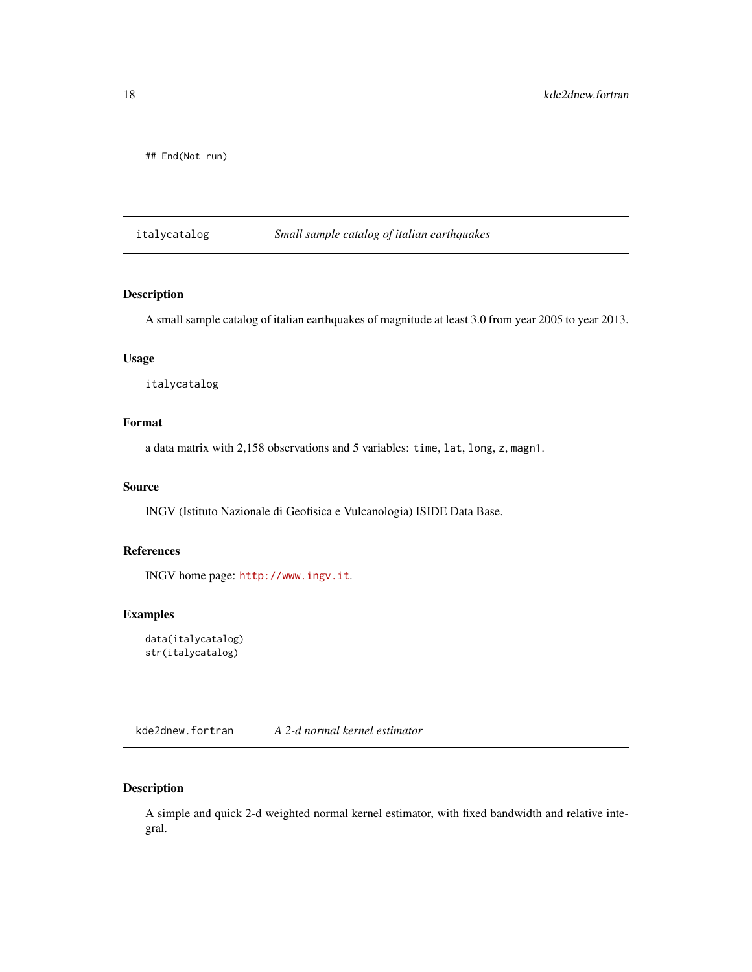<span id="page-17-0"></span>## End(Not run)

italycatalog *Small sample catalog of italian earthquakes*

# Description

A small sample catalog of italian earthquakes of magnitude at least 3.0 from year 2005 to year 2013.

# Usage

italycatalog

# Format

a data matrix with 2,158 observations and 5 variables: time, lat, long, z, magn1.

### Source

INGV (Istituto Nazionale di Geofisica e Vulcanologia) ISIDE Data Base.

# References

INGV home page: <http://www.ingv.it>.

# Examples

```
data(italycatalog)
str(italycatalog)
```
kde2dnew.fortran *A 2-d normal kernel estimator*

# Description

A simple and quick 2-d weighted normal kernel estimator, with fixed bandwidth and relative integral.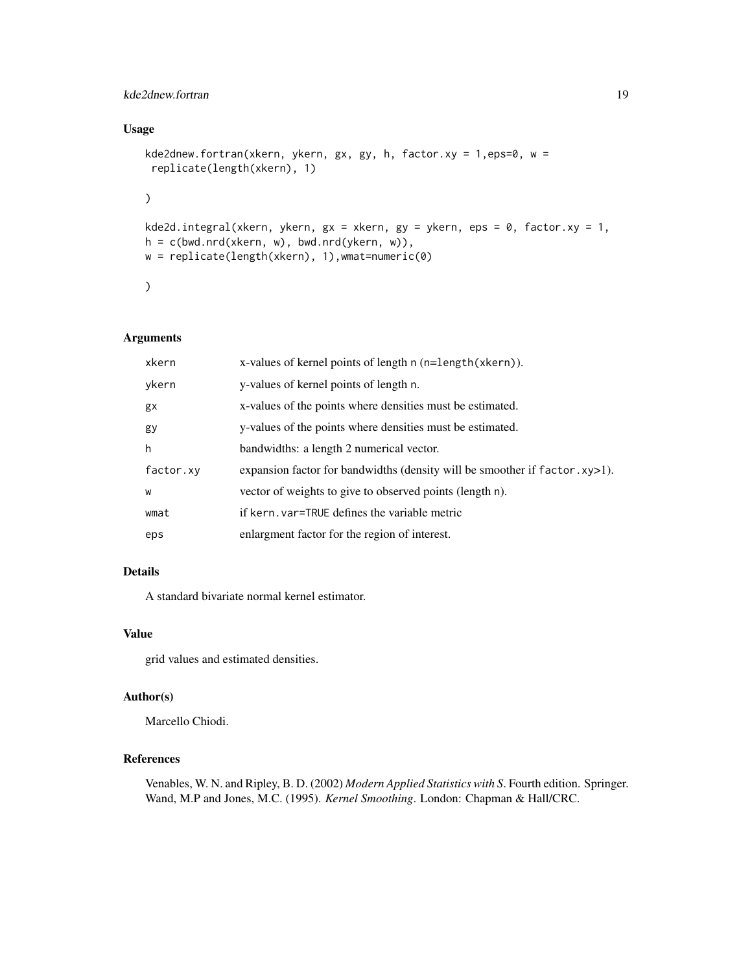# kde2dnew.fortran 19

# Usage

```
kde2dnew.fortran(xkern, ykern, gx, gy, h, factor.xy = 1,eps=0, w =replicate(length(xkern), 1)
\mathcal{L}kde2d.integral(xkern, ykern, gx = xkern, gy = ykern, eps = 0, factor.xy = 1,
h = c(bwd.nrd(xkern, w), bwd.nrd(ykern, w)),
w = replicate(length(xkern), 1),wmat=numeric(0)
)
```
# Arguments

| xkern     | x-values of kernel points of length $n$ ( $n =$ length $(x \text{ker} n)$ ).  |
|-----------|-------------------------------------------------------------------------------|
| ykern     | y-values of kernel points of length n.                                        |
| gx        | x-values of the points where densities must be estimated.                     |
| gy        | y-values of the points where densities must be estimated.                     |
| h         | bandwidths: a length 2 numerical vector.                                      |
| factor.xy | expansion factor for bandwidths (density will be smoother if $factor$ .xy>1). |
| W         | vector of weights to give to observed points (length n).                      |
| wmat      | if kern. var=TRUE defines the variable metric                                 |
| eps       | enlargment factor for the region of interest.                                 |

# Details

A standard bivariate normal kernel estimator.

#### Value

grid values and estimated densities.

# Author(s)

Marcello Chiodi.

# References

Venables, W. N. and Ripley, B. D. (2002) *Modern Applied Statistics with S*. Fourth edition. Springer. Wand, M.P and Jones, M.C. (1995). *Kernel Smoothing*. London: Chapman & Hall/CRC.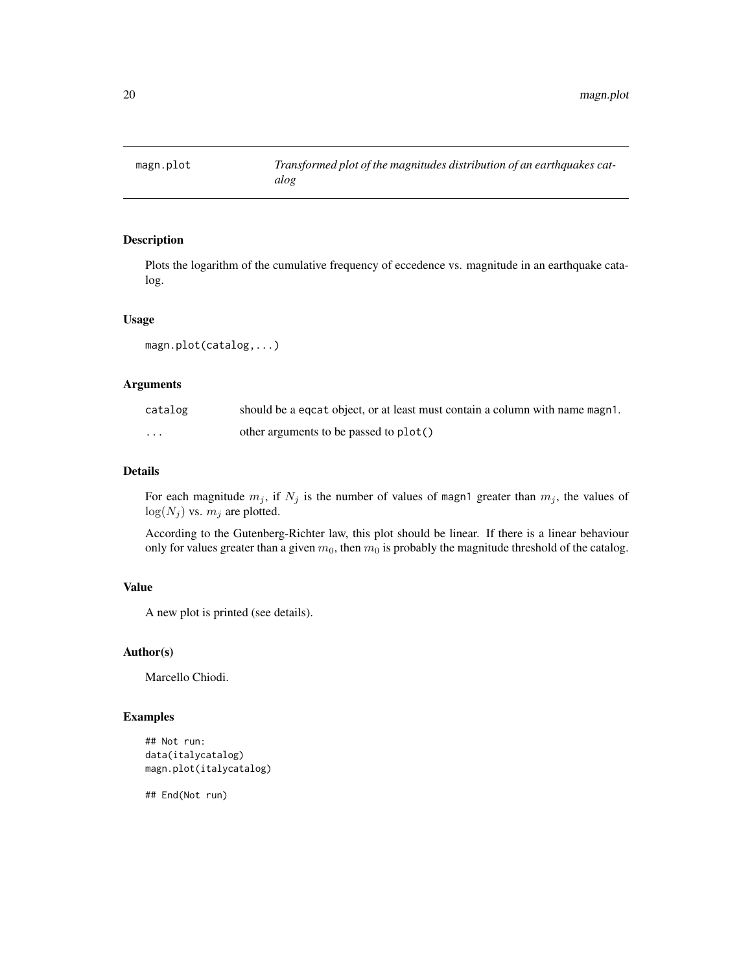<span id="page-19-1"></span><span id="page-19-0"></span>

Plots the logarithm of the cumulative frequency of eccedence vs. magnitude in an earthquake catalog.

#### Usage

magn.plot(catalog,...)

# Arguments

| catalog  | should be a equation object, or at least must contain a column with name magn1. |
|----------|---------------------------------------------------------------------------------|
| $\cdots$ | other arguments to be passed to plot()                                          |

# Details

For each magnitude  $m_j$ , if  $N_j$  is the number of values of magn1 greater than  $m_j$ , the values of  $log(N_j)$  vs.  $m_j$  are plotted.

According to the Gutenberg-Richter law, this plot should be linear. If there is a linear behaviour only for values greater than a given  $m_0$ , then  $m_0$  is probably the magnitude threshold of the catalog.

# Value

A new plot is printed (see details).

# Author(s)

Marcello Chiodi.

# Examples

```
## Not run:
data(italycatalog)
magn.plot(italycatalog)
```
## End(Not run)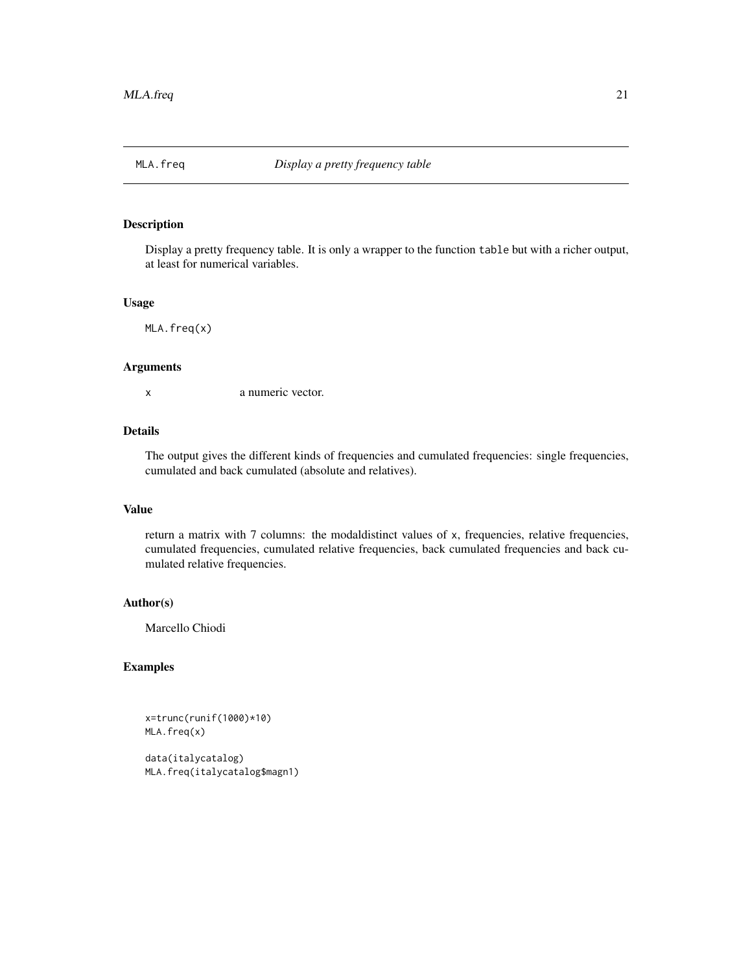<span id="page-20-0"></span>

Display a pretty frequency table. It is only a wrapper to the function table but with a richer output, at least for numerical variables.

#### Usage

MLA.freq(x)

# Arguments

x a numeric vector.

#### Details

The output gives the different kinds of frequencies and cumulated frequencies: single frequencies, cumulated and back cumulated (absolute and relatives).

#### Value

return a matrix with 7 columns: the modaldistinct values of x, frequencies, relative frequencies, cumulated frequencies, cumulated relative frequencies, back cumulated frequencies and back cumulated relative frequencies.

# Author(s)

Marcello Chiodi

# Examples

x=trunc(runif(1000)\*10) MLA.freq(x)

data(italycatalog) MLA.freq(italycatalog\$magn1)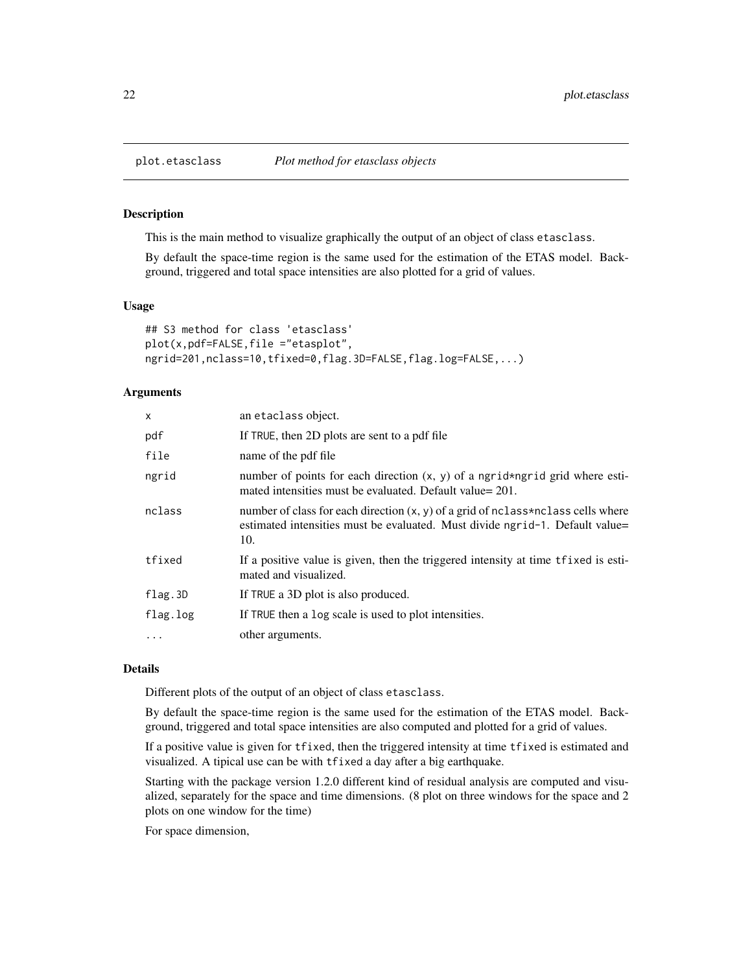<span id="page-21-1"></span><span id="page-21-0"></span>

This is the main method to visualize graphically the output of an object of class etasclass.

By default the space-time region is the same used for the estimation of the ETAS model. Background, triggered and total space intensities are also plotted for a grid of values.

#### Usage

```
## S3 method for class 'etasclass'
plot(x,pdf=FALSE,file ="etasplot",
ngrid=201,nclass=10,tfixed=0,flag.3D=FALSE,flag.log=FALSE,...)
```
#### Arguments

| $\mathsf{x}$ | an etaclass object.                                                                                                                                                       |
|--------------|---------------------------------------------------------------------------------------------------------------------------------------------------------------------------|
| pdf          | If TRUE, then 2D plots are sent to a pdf file                                                                                                                             |
| file         | name of the pdf file                                                                                                                                                      |
| ngrid        | number of points for each direction $(x, y)$ of a ngrid*ngrid grid where esti-<br>mated intensities must be evaluated. Default value= 201.                                |
| nclass       | number of class for each direction $(x, y)$ of a grid of nclass*nclass cells where<br>estimated intensities must be evaluated. Must divide ngrid-1. Default value=<br>10. |
| tfixed       | If a positive value is given, then the triggered intensity at time the rest-<br>mated and visualized.                                                                     |
| flag.3D      | If TRUE a 3D plot is also produced.                                                                                                                                       |
| flag.log     | If TRUE then a log scale is used to plot intensities.                                                                                                                     |
| $\cdots$     | other arguments.                                                                                                                                                          |

### Details

Different plots of the output of an object of class etasclass.

By default the space-time region is the same used for the estimation of the ETAS model. Background, triggered and total space intensities are also computed and plotted for a grid of values.

If a positive value is given for tfixed, then the triggered intensity at time tfixed is estimated and visualized. A tipical use can be with tfixed a day after a big earthquake.

Starting with the package version 1.2.0 different kind of residual analysis are computed and visualized, separately for the space and time dimensions. (8 plot on three windows for the space and 2 plots on one window for the time)

For space dimension,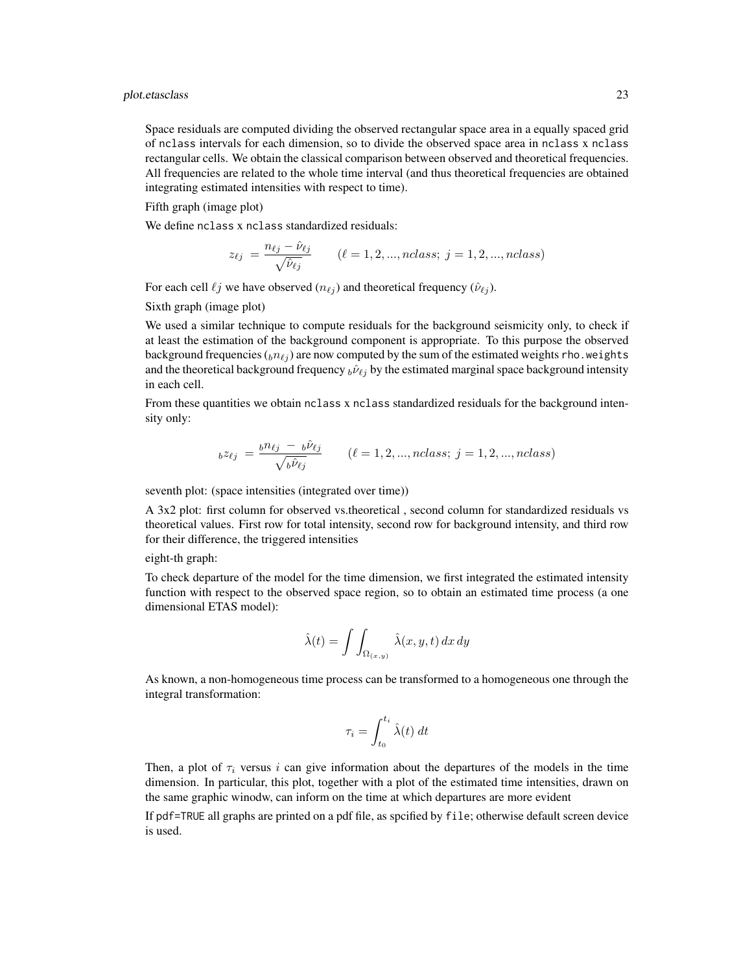Space residuals are computed dividing the observed rectangular space area in a equally spaced grid of nclass intervals for each dimension, so to divide the observed space area in nclass x nclass rectangular cells. We obtain the classical comparison between observed and theoretical frequencies. All frequencies are related to the whole time interval (and thus theoretical frequencies are obtained integrating estimated intensities with respect to time).

Fifth graph (image plot)

We define nclass x nclass standardized residuals:

$$
z_{\ell j} = \frac{n_{\ell j} - \hat{\nu}_{\ell j}}{\sqrt{\hat{\nu}_{\ell j}}} \qquad (\ell = 1, 2, ..., nclass; j = 1, 2, ..., nclass)
$$

For each cell  $\ell j$  we have observed  $(n_{\ell j})$  and theoretical frequency  $(\hat{\nu}_{\ell j})$ .

Sixth graph (image plot)

We used a similar technique to compute residuals for the background seismicity only, to check if at least the estimation of the background component is appropriate. To this purpose the observed background frequencies  $(bn_{\ell j})$  are now computed by the sum of the estimated weights rho.weights and the theoretical background frequency  $_b\hat{\nu}_{\ell j}$  by the estimated marginal space background intensity in each cell.

From these quantities we obtain nclass x nclass standardized residuals for the background intensity only:

$$
b^{z}\ell_{j} = \frac{b^{n}\ell_{j} - b^{i}\ell_{j}}{\sqrt{b^{i}\ell_{j}}}
$$
   
 ( $\ell = 1, 2, ..., nclass; j = 1, 2, ..., nclass$ )

seventh plot: (space intensities (integrated over time))

A 3x2 plot: first column for observed vs.theoretical , second column for standardized residuals vs theoretical values. First row for total intensity, second row for background intensity, and third row for their difference, the triggered intensities

eight-th graph:

To check departure of the model for the time dimension, we first integrated the estimated intensity function with respect to the observed space region, so to obtain an estimated time process (a one dimensional ETAS model):

$$
\hat{\lambda}(t) = \int \int_{\Omega_{(x,y)}} \hat{\lambda}(x, y, t) \, dx \, dy
$$

As known, a non-homogeneous time process can be transformed to a homogeneous one through the integral transformation:

$$
\tau_i = \int_{t_0}^{t_i} \hat{\lambda}(t) \, dt
$$

Then, a plot of  $\tau_i$  versus i can give information about the departures of the models in the time dimension. In particular, this plot, together with a plot of the estimated time intensities, drawn on the same graphic winodw, can inform on the time at which departures are more evident

If pdf=TRUE all graphs are printed on a pdf file, as spcified by file; otherwise default screen device is used.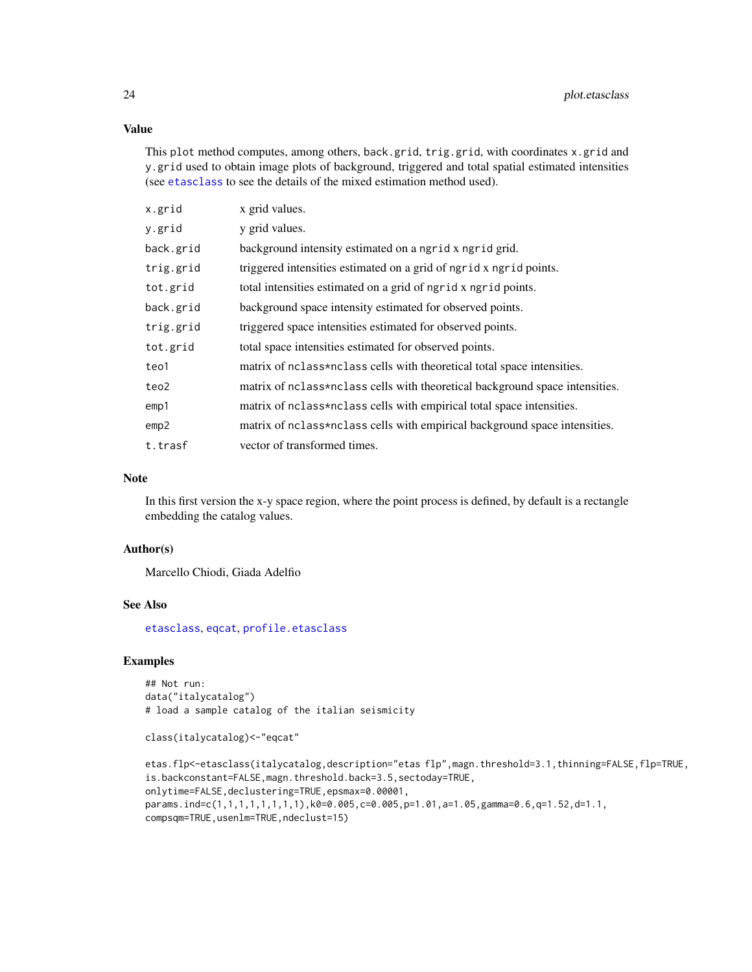# Value

This plot method computes, among others, back.grid, trig.grid, with coordinates x.grid and y.grid used to obtain image plots of background, triggered and total spatial estimated intensities (see [etasclass](#page-10-1) to see the details of the mixed estimation method used).

| x.grid    | x grid values.                                                               |
|-----------|------------------------------------------------------------------------------|
| y.grid    | y grid values.                                                               |
| back.grid | background intensity estimated on a ngrid x ngrid grid.                      |
| trig.grid | triggered intensities estimated on a grid of ngrid x ngrid points.           |
| tot.grid  | total intensities estimated on a grid of ngrid x ngrid points.               |
| back.grid | background space intensity estimated for observed points.                    |
| trig.grid | triggered space intensities estimated for observed points.                   |
| tot.grid  | total space intensities estimated for observed points.                       |
| teo1      | matrix of nclass*nclass cells with theoretical total space intensities.      |
| teo2      | matrix of nclass*nclass cells with theoretical background space intensities. |
| emp1      | matrix of nclass*nclass cells with empirical total space intensities.        |
| emp2      | matrix of nclass*nclass cells with empirical background space intensities.   |
| t.trasf   | vector of transformed times.                                                 |

#### Note

In this first version the x-y space region, where the point process is defined, by default is a rectangle embedding the catalog values.

#### Author(s)

Marcello Chiodi, Giada Adelfio

# See Also

[etasclass](#page-10-1), [eqcat](#page-7-1), [profile.etasclass](#page-26-1)

# Examples

## Not run: data("italycatalog") # load a sample catalog of the italian seismicity

```
class(italycatalog)<-"eqcat"
```

```
etas.flp<-etasclass(italycatalog,description="etas flp",magn.threshold=3.1,thinning=FALSE,flp=TRUE,
is.backconstant=FALSE,magn.threshold.back=3.5,sectoday=TRUE,
onlytime=FALSE,declustering=TRUE,epsmax=0.00001,
params.ind=c(1,1,1,1,1,1,1,1),k0=0.005,c=0.005,p=1.01,a=1.05,gamma=0.6,q=1.52,d=1.1,
compsqm=TRUE,usenlm=TRUE,ndeclust=15)
```
<span id="page-23-0"></span>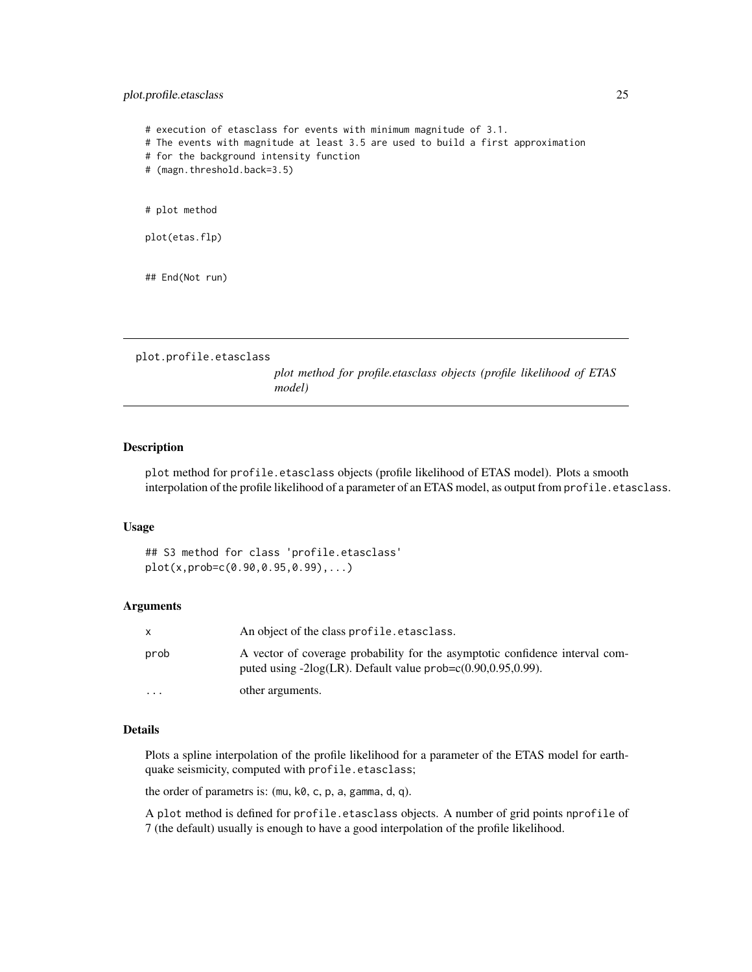# <span id="page-24-0"></span>plot.profile.etasclass 25

# execution of etasclass for events with minimum magnitude of 3.1. # The events with magnitude at least 3.5 are used to build a first approximation # for the background intensity function # (magn.threshold.back=3.5) # plot method plot(etas.flp) ## End(Not run)

<span id="page-24-1"></span>plot.profile.etasclass

*plot method for profile.etasclass objects (profile likelihood of ETAS model)*

#### Description

plot method for profile.etasclass objects (profile likelihood of ETAS model). Plots a smooth interpolation of the profile likelihood of a parameter of an ETAS model, as output from profile.etasclass.

#### Usage

## S3 method for class 'profile.etasclass' plot(x,prob=c(0.90,0.95,0.99),...)

#### Arguments

| X        | An object of the class profile.etasclass.                                                                                                              |
|----------|--------------------------------------------------------------------------------------------------------------------------------------------------------|
| prob     | A vector of coverage probability for the asymptotic confidence interval com-<br>puted using $-2\log(LR)$ . Default value prob= $c(0.90, 0.95, 0.99)$ . |
| $\cdots$ | other arguments.                                                                                                                                       |

### Details

Plots a spline interpolation of the profile likelihood for a parameter of the ETAS model for earthquake seismicity, computed with profile.etasclass;

the order of parametrs is: (mu, k0, c, p, a, gamma, d, q).

A plot method is defined for profile.etasclass objects. A number of grid points nprofile of 7 (the default) usually is enough to have a good interpolation of the profile likelihood.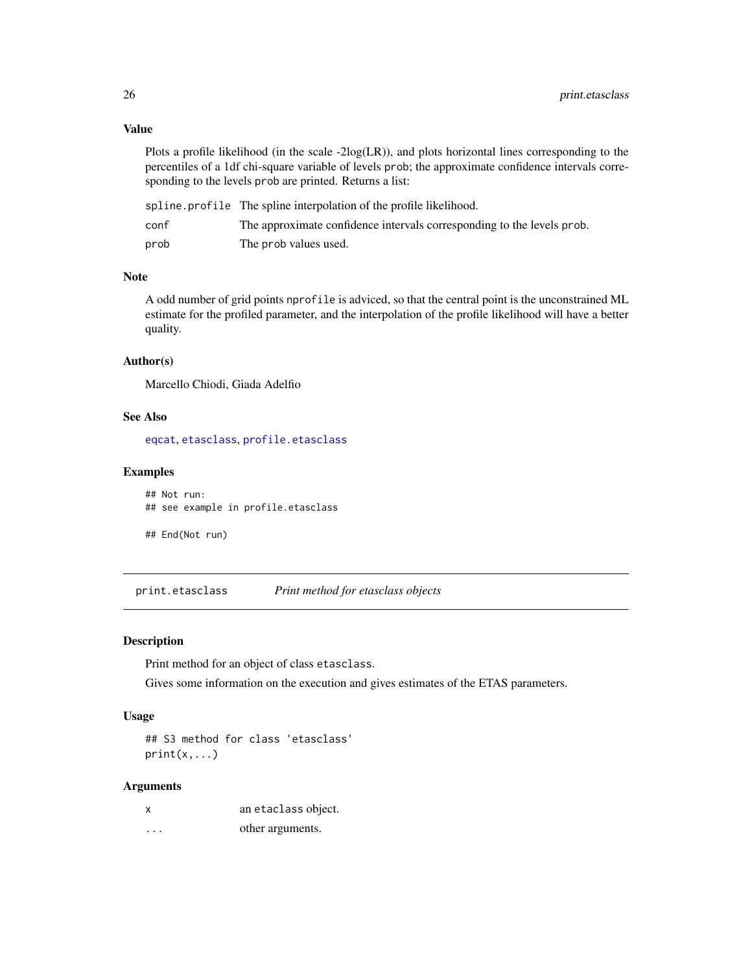# Value

Plots a profile likelihood (in the scale -2log(LR)), and plots horizontal lines corresponding to the percentiles of a 1df chi-square variable of levels prob; the approximate confidence intervals corresponding to the levels prob are printed. Returns a list:

|      | spline. profile The spline interpolation of the profile likelihood.    |
|------|------------------------------------------------------------------------|
| conf | The approximate confidence intervals corresponding to the levels prob. |
| prob | The prob values used.                                                  |

# Note

A odd number of grid points nprofile is adviced, so that the central point is the unconstrained ML estimate for the profiled parameter, and the interpolation of the profile likelihood will have a better quality.

#### Author(s)

Marcello Chiodi, Giada Adelfio

#### See Also

[eqcat](#page-7-1), [etasclass](#page-10-1), [profile.etasclass](#page-26-1)

# Examples

## Not run: ## see example in profile.etasclass

## End(Not run)

print.etasclass *Print method for etasclass objects*

#### Description

Print method for an object of class etasclass.

Gives some information on the execution and gives estimates of the ETAS parameters.

#### Usage

## S3 method for class 'etasclass'  $print(x, \ldots)$ 

#### Arguments

| X | an etaclass object. |
|---|---------------------|
| . | other arguments.    |

<span id="page-25-0"></span>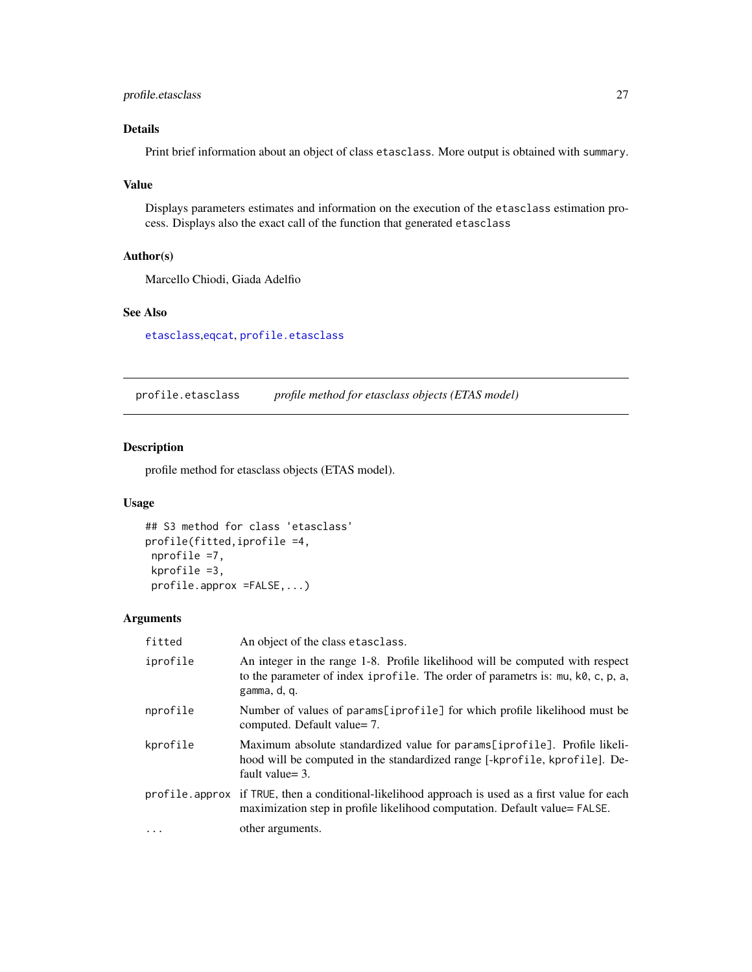# <span id="page-26-0"></span>profile.etasclass 27

# Details

Print brief information about an object of class etasclass. More output is obtained with summary.

# Value

Displays parameters estimates and information on the execution of the etasclass estimation process. Displays also the exact call of the function that generated etasclass

# Author(s)

Marcello Chiodi, Giada Adelfio

# See Also

[etasclass](#page-10-1),[eqcat](#page-7-1), [profile.etasclass](#page-26-1)

<span id="page-26-1"></span>profile.etasclass *profile method for etasclass objects (ETAS model)*

# Description

profile method for etasclass objects (ETAS model).

# Usage

```
## S3 method for class 'etasclass'
profile(fitted,iprofile =4,
nprofile =7,
kprofile =3,
profile.approx =FALSE,...)
```
#### Arguments

| fitted   | An object of the class etasclass.                                                                                                                                                |
|----------|----------------------------------------------------------------------------------------------------------------------------------------------------------------------------------|
| iprofile | An integer in the range 1-8. Profile likelihood will be computed with respect<br>to the parameter of index iprofile. The order of parametrs is: mu, k0, c, p, a,<br>gamma, d, q. |
| nprofile | Number of values of params[iprofile] for which profile likelihood must be<br>computed. Default value= 7.                                                                         |
| kprofile | Maximum absolute standardized value for params[iprofile]. Profile likeli-<br>hood will be computed in the standardized range [-kprofile, kprofile]. De-<br>fault value= $3$ .    |
|          | profile. approx if TRUE, then a conditional-likelihood approach is used as a first value for each<br>maximization step in profile likelihood computation. Default value= FALSE.  |
| $\cdots$ | other arguments.                                                                                                                                                                 |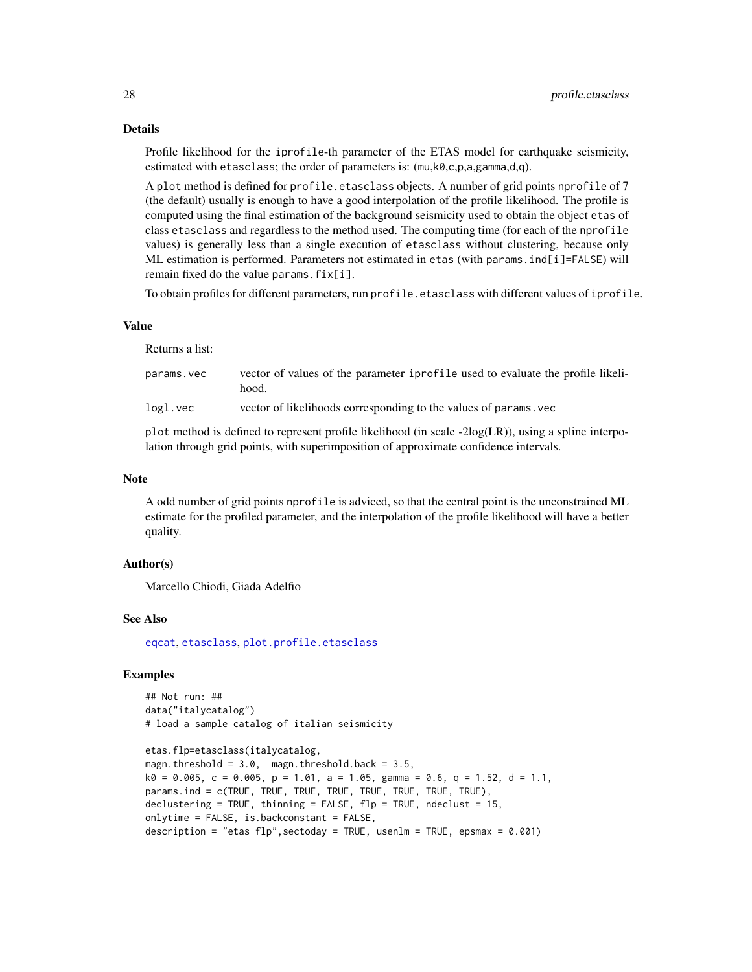Profile likelihood for the iprofile-th parameter of the ETAS model for earthquake seismicity, estimated with etasclass; the order of parameters is: (mu,k0,c,p,a,gamma,d,q).

A plot method is defined for profile.etasclass objects. A number of grid points nprofile of 7 (the default) usually is enough to have a good interpolation of the profile likelihood. The profile is computed using the final estimation of the background seismicity used to obtain the object etas of class etasclass and regardless to the method used. The computing time (for each of the nprofile values) is generally less than a single execution of etasclass without clustering, because only ML estimation is performed. Parameters not estimated in etas (with params.ind[i]=FALSE) will remain fixed do the value params.  $fix[i]$ .

To obtain profiles for different parameters, run profile.etasclass with different values of iprofile.

#### Value

Returns a list:

| params.vec | vector of values of the parameter iprofile used to evaluate the profile likeli- |
|------------|---------------------------------------------------------------------------------|
|            | hood.                                                                           |
| logl.vec   | vector of likelihoods corresponding to the values of params, vec                |

plot method is defined to represent profile likelihood (in scale -2log(LR)), using a spline interpolation through grid points, with superimposition of approximate confidence intervals.

#### Note

A odd number of grid points nprofile is adviced, so that the central point is the unconstrained ML estimate for the profiled parameter, and the interpolation of the profile likelihood will have a better quality.

#### Author(s)

Marcello Chiodi, Giada Adelfio

#### See Also

[eqcat](#page-7-1), [etasclass](#page-10-1), [plot.profile.etasclass](#page-24-1)

# Examples

```
## Not run: ##
data("italycatalog")
# load a sample catalog of italian seismicity
```

```
etas.flp=etasclass(italycatalog,
magn.threshold = 3.0, magn.threshold.back = 3.5,
k0 = 0.005, c = 0.005, p = 1.01, a = 1.05, gamma = 0.6, q = 1.52, d = 1.1,
params.ind = c(TRUE, TRUE, TRUE, TRUE, TRUE, TRUE, TRUE, TRUE),
declustering = TRUE, thinning = FALSE, flp = TRUE, ndeclust = 15,
onlytime = FALSE, is.backconstant = FALSE,
description = "etas flp", sectoday = TRUE, usenlm = TRUE, epsmax = 0.001)
```
<span id="page-27-0"></span>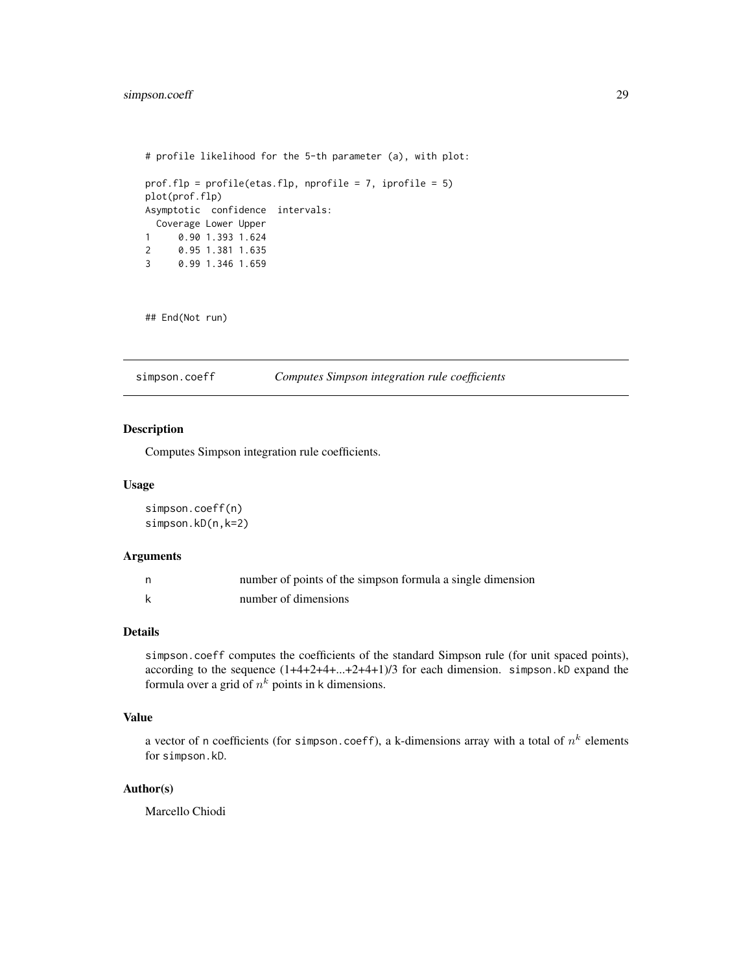```
# profile likelihood for the 5-th parameter (a), with plot:
prof.flp = profile(etas.flp, nprofile = 7, iprofile = 5)
plot(prof.flp)
Asymptotic confidence intervals:
 Coverage Lower Upper
1 0.90 1.393 1.624
2 0.95 1.381 1.635
3 0.99 1.346 1.659
```
## End(Not run)

simpson.coeff *Computes Simpson integration rule coefficients*

# Description

Computes Simpson integration rule coefficients.

#### Usage

simpson.coeff(n) simpson.kD(n,k=2)

#### Arguments

| n, | number of points of the simpson formula a single dimension |
|----|------------------------------------------------------------|
|    | number of dimensions                                       |

#### Details

simpson.coeff computes the coefficients of the standard Simpson rule (for unit spaced points), according to the sequence (1+4+2+4+...+2+4+1)/3 for each dimension. simpson.kD expand the formula over a grid of  $n^k$  points in k dimensions.

# Value

a vector of n coefficients (for simpson.coeff), a k-dimensions array with a total of  $n^k$  elements for simpson.kD.

# Author(s)

Marcello Chiodi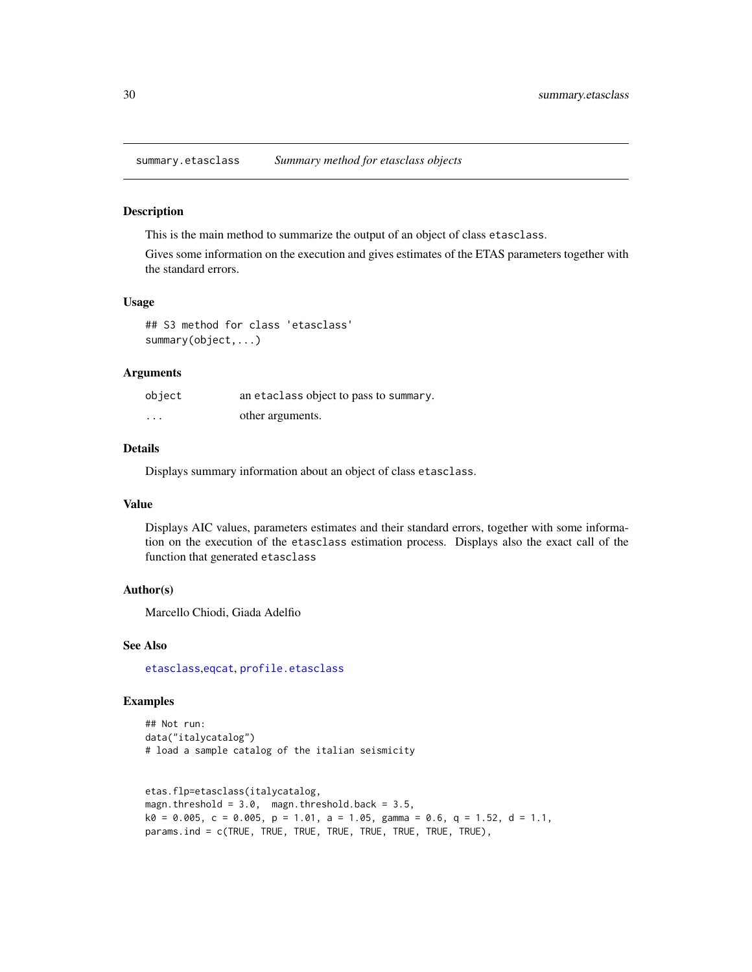<span id="page-29-1"></span><span id="page-29-0"></span>summary.etasclass *Summary method for etasclass objects*

#### Description

This is the main method to summarize the output of an object of class etasclass.

Gives some information on the execution and gives estimates of the ETAS parameters together with the standard errors.

# Usage

## S3 method for class 'etasclass' summary(object,...)

#### Arguments

| object                  | an etaclass object to pass to summary. |
|-------------------------|----------------------------------------|
| $\cdot$ $\cdot$ $\cdot$ | other arguments.                       |

# Details

Displays summary information about an object of class etasclass.

#### Value

Displays AIC values, parameters estimates and their standard errors, together with some information on the execution of the etasclass estimation process. Displays also the exact call of the function that generated etasclass

#### Author(s)

Marcello Chiodi, Giada Adelfio

#### See Also

[etasclass](#page-10-1),[eqcat](#page-7-1), [profile.etasclass](#page-26-1)

# Examples

```
## Not run:
data("italycatalog")
# load a sample catalog of the italian seismicity
```

```
etas.flp=etasclass(italycatalog,
magn.threshold = 3.0, magn.threshold.back = 3.5,
k0 = 0.005, c = 0.005, p = 1.01, a = 1.05, gamma = 0.6, q = 1.52, d = 1.1,
params.ind = c(TRUE, TRUE, TRUE, TRUE, TRUE, TRUE, TRUE, TRUE),
```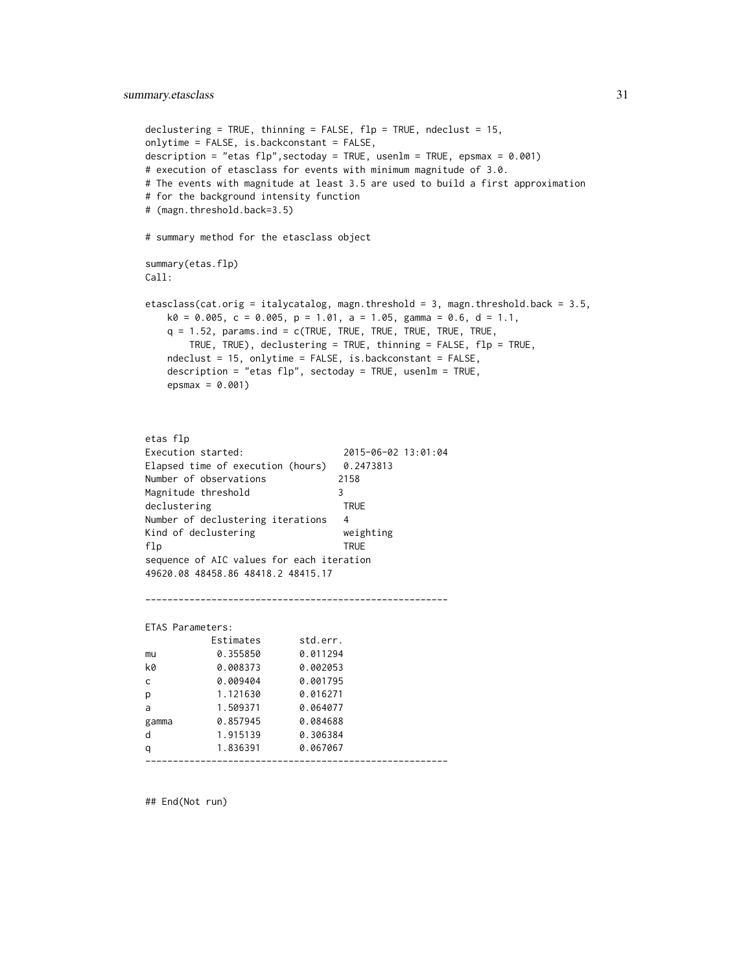```
declustering = TRUE, thinning = FALSE, flp = TRUE, ndeclust = 15,
onlytime = FALSE, is.backconstant = FALSE,
description = "etas flp",sectoday = TRUE, usenlm = TRUE, epsmax = 0.001)
# execution of etasclass for events with minimum magnitude of 3.0.
# The events with magnitude at least 3.5 are used to build a first approximation
# for the background intensity function
# (magn.threshold.back=3.5)
# summary method for the etasclass object
summary(etas.flp)
Call:
etasclass(cat.orig = italycatalog, magn.threshold = 3, magn.threshold.back = 3.5,
   k0 = 0.005, c = 0.005, p = 1.01, a = 1.05, gamma = 0.6, d = 1.1,
   q = 1.52, params.ind = c(TRUE, TRUE, TRUE, TRUE, TRUE, TRUE,
       TRUE, TRUE), declustering = TRUE, thinning = FALSE, flp = TRUE,
   ndeclust = 15, onlytime = FALSE, is.backconstant = FALSE,
   description = "etas flp", sectoday = TRUE, usenlm = TRUE,
   epsmax = 0.001)
etas flp
Execution started: 2015-06-02 13:01:04
Elapsed time of execution (hours) 0.2473813
Number of observations 2158
Magnitude threshold 3
declustering TRUE
Number of declustering iterations 4
Kind of declustering weighting
flp TRUE
sequence of AIC values for each iteration
49620.08 48458.86 48418.2 48415.17
    -------------------------------------------------------
ETAS Parameters:
          Estimates std.err.
mu 0.355850 0.011294
k0 0.008373 0.002053
c 0.009404 0.001795
p 1.121630 0.016271
a 1.509371 0.064077
gamma 0.857945 0.084688
```
-------------------------------------------------------

## End(Not run)

d 1.915139 0.306384 q 1.836391 0.067067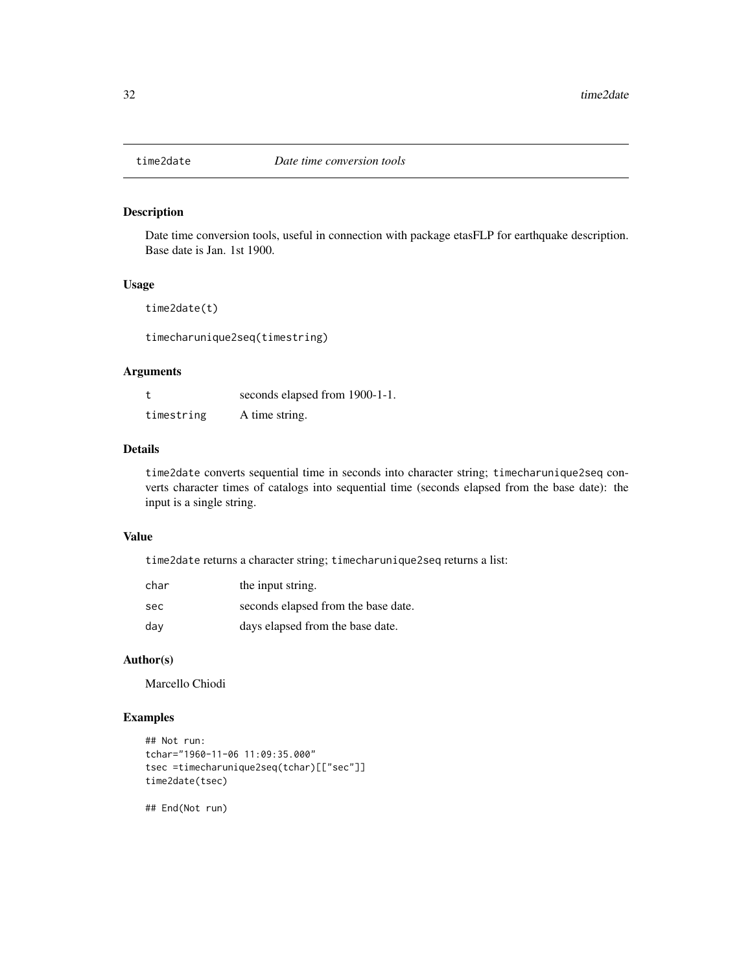<span id="page-31-0"></span>

Date time conversion tools, useful in connection with package etasFLP for earthquake description. Base date is Jan. 1st 1900.

# Usage

time2date(t)

timecharunique2seq(timestring)

# Arguments

|            | seconds elapsed from 1900-1-1. |
|------------|--------------------------------|
| timestring | A time string.                 |

# Details

time2date converts sequential time in seconds into character string; timecharunique2seq converts character times of catalogs into sequential time (seconds elapsed from the base date): the input is a single string.

#### Value

time2date returns a character string; timecharunique2seq returns a list:

| char | the input string.                   |
|------|-------------------------------------|
| sec  | seconds elapsed from the base date. |
| dav  | days elapsed from the base date.    |

# Author(s)

Marcello Chiodi

# Examples

```
## Not run:
tchar="1960-11-06 11:09:35.000"
tsec =timecharunique2seq(tchar)[["sec"]]
time2date(tsec)
```
## End(Not run)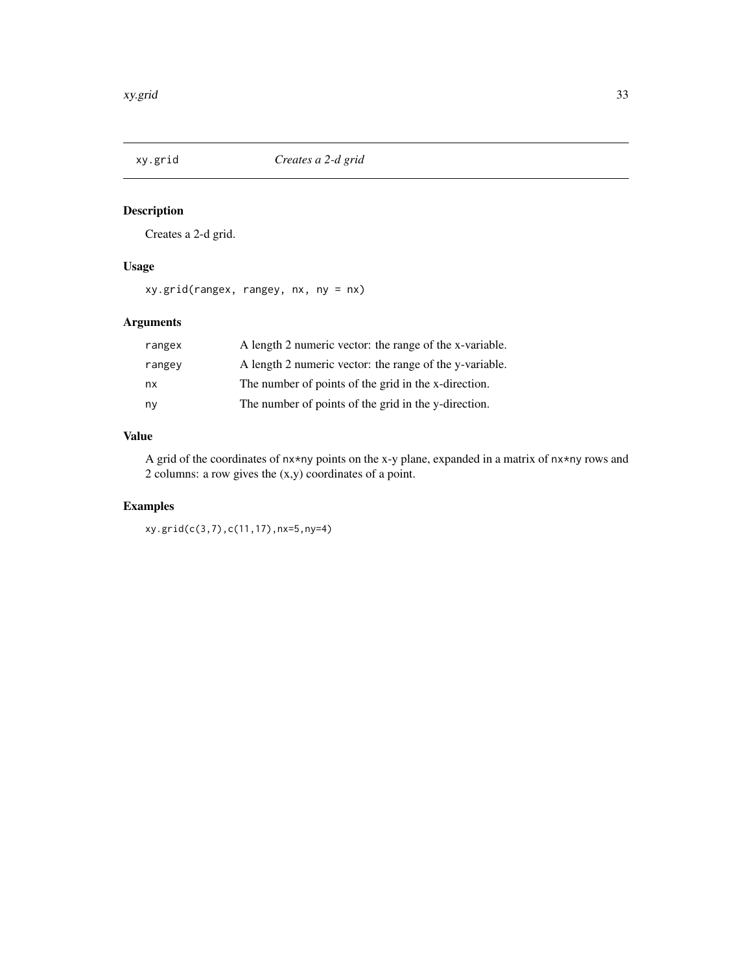<span id="page-32-0"></span>

Creates a 2-d grid.

# Usage

xy.grid(rangex, rangey, nx, ny = nx)

# Arguments

| rangex | A length 2 numeric vector: the range of the x-variable. |
|--------|---------------------------------------------------------|
| rangey | A length 2 numeric vector: the range of the y-variable. |
| nx     | The number of points of the grid in the x-direction.    |
| ny     | The number of points of the grid in the y-direction.    |

# Value

A grid of the coordinates of nx\*ny points on the x-y plane, expanded in a matrix of nx\*ny rows and 2 columns: a row gives the (x,y) coordinates of a point.

# Examples

xy.grid(c(3,7),c(11,17),nx=5,ny=4)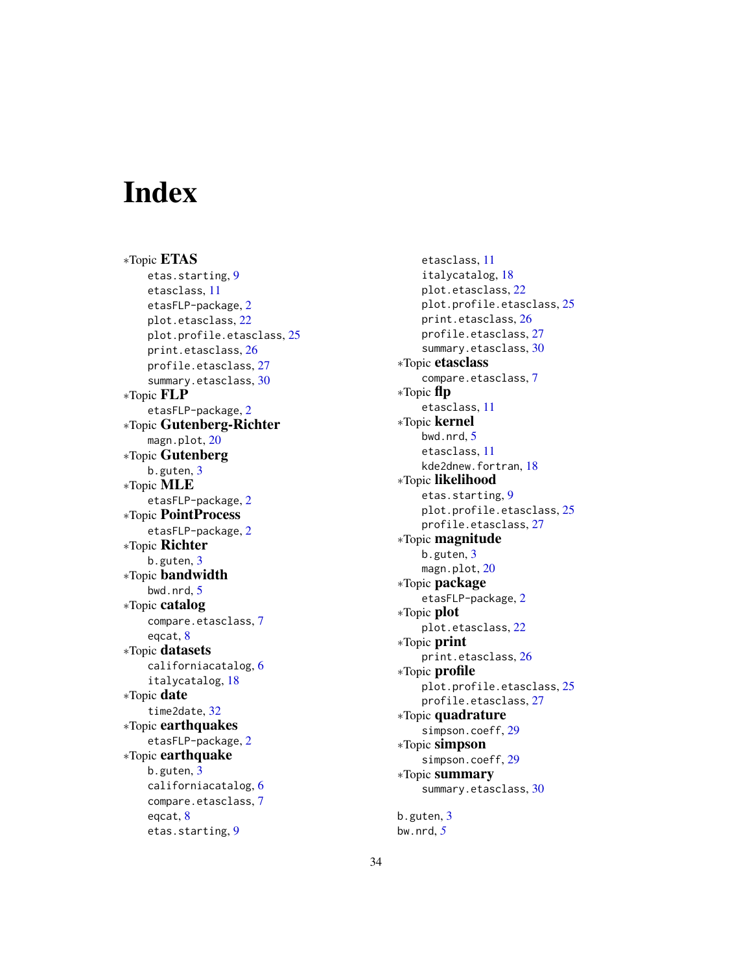# <span id="page-33-0"></span>**Index**

∗Topic ETAS etas.starting , [9](#page-8-0) etasclass , [11](#page-10-0) etasFLP-package , [2](#page-1-0) plot.etasclass , [22](#page-21-0) plot.profile.etasclass , [25](#page-24-0) print.etasclass , [26](#page-25-0) profile.etasclass , [27](#page-26-0) summary.etasclass , [30](#page-29-0) ∗Topic FLP etasFLP-package , [2](#page-1-0) ∗Topic Gutenberg-Richter magn.plot, [20](#page-19-0) ∗Topic Gutenberg b.guten , [3](#page-2-0) ∗Topic MLE etasFLP-package , [2](#page-1-0) ∗Topic PointProcess etasFLP-package , [2](#page-1-0) ∗Topic Richter b.guten, [3](#page-2-0) ∗Topic bandwidth bwd.nrd , [5](#page-4-0) ∗Topic catalog compare.etasclass , [7](#page-6-0) eqcat , [8](#page-7-0) ∗Topic datasets californiacatalog , [6](#page-5-0) italycatalog , [18](#page-17-0) ∗Topic date time2date , [32](#page-31-0) ∗Topic earthquakes etasFLP-package , [2](#page-1-0) ∗Topic earthquake b.guten, [3](#page-2-0) californiacatalog , [6](#page-5-0) compare.etasclass , [7](#page-6-0) eqcat , [8](#page-7-0) etas.starting , [9](#page-8-0)

etasclass , [11](#page-10-0) italycatalog , [18](#page-17-0) plot.etasclass , [22](#page-21-0) plot.profile.etasclass , [25](#page-24-0) print.etasclass , [26](#page-25-0) profile.etasclass , [27](#page-26-0) summary.etasclass, [30](#page-29-0) ∗Topic etasclass compare.etasclass , [7](#page-6-0) ∗Topic flp etasclass , [11](#page-10-0) ∗Topic kernel bwd.nrd, <mark>[5](#page-4-0)</mark> etasclass , [11](#page-10-0) kde2dnew.fortran , [18](#page-17-0) ∗Topic likelihood etas.starting , [9](#page-8-0) plot.profile.etasclass , [25](#page-24-0) profile.etasclass , [27](#page-26-0) ∗Topic magnitude b.guten, [3](#page-2-0) magn.plot, [20](#page-19-0) ∗Topic package etasFLP-package , [2](#page-1-0) ∗Topic plot plot.etasclass , [22](#page-21-0) ∗Topic print print.etasclass , [26](#page-25-0) ∗Topic profile plot.profile.etasclass , [25](#page-24-0) profile.etasclass , [27](#page-26-0) ∗Topic quadrature simpson.coeff, [29](#page-28-0) ∗Topic simpson simpson.coeff , [29](#page-28-0) ∗Topic summary summary.etasclass, [30](#page-29-0)

b.guten , [3](#page-2-0) bw.nrd , *[5](#page-4-0)*